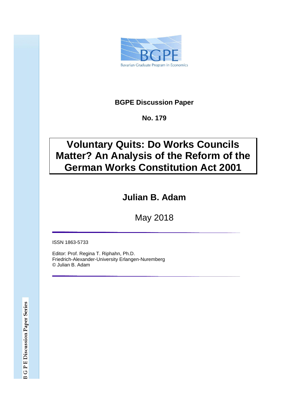

## **BGPE Discussion Paper**

## **No. 179**

# **Voluntary Quits: Do Works Councils Matter? An Analysis of the Reform of the German Works Constitution Act 2001**

# **Julian B. Adam**

May 2018

ISSN 1863-5733

Editor: Prof. Regina T. Riphahn, Ph.D. Friedrich-Alexander-University Erlangen-Nuremberg © Julian B. Adam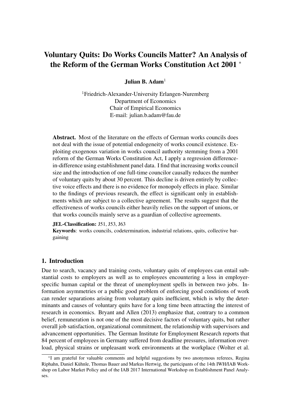# Voluntary Quits: Do Works Councils Matter? An Analysis of the Reform of the German Works Constitution Act 2001 <sup>∗</sup>

## Julian B.  $Adam<sup>1</sup>$

<sup>1</sup>Friedrich-Alexander-University Erlangen-Nuremberg Department of Economics Chair of Empirical Economics E-mail: julian.b.adam@fau.de

Abstract. Most of the literature on the effects of German works councils does not deal with the issue of potential endogeneity of works council existence. Exploiting exogenous variation in works council authority stemming from a 2001 reform of the German Works Constitution Act, I apply a regression differencein-difference using establishment panel data. I find that increasing works council size and the introduction of one full-time councilor causally reduces the number of voluntary quits by about 30 percent. This decline is driven entirely by collective voice effects and there is no evidence for monopoly effects in place. Similar to the findings of previous research, the effect is significant only in establishments which are subject to a collective agreement. The results suggest that the effectiveness of works councils either heavily relies on the support of unions, or that works councils mainly serve as a guardian of collective agreements.

#### JEL-Classification: J51, J53, J63

Keywords: works councils, codetermination, industrial relations, quits, collective bargaining

#### 1. Introduction

Due to search, vacancy and training costs, voluntary quits of employees can entail substantial costs to employers as well as to employees encountering a loss in employerspecific human capital or the threat of unemployment spells in between two jobs. Information asymmetries or a public good problem of enforcing good conditions of work can render separations arising from voluntary quits inefficient, which is why the determinants and causes of voluntary quits have for a long time been attracting the interest of research in economics. Bryant and Allen (2013) emphasize that, contrary to a common belief, remuneration is not one of the most decisive factors of voluntary quits, but rather overall job satisfaction, organizational commitment, the relationship with supervisors and advancement opportunities. The German Institute for Employment Research reports that 84 percent of employees in Germany suffered from deadline pressures, information overload, physical strains or unpleasant work environments at the workplace (Wolter et al.

<sup>∗</sup> I am grateful for valuable comments and helpful suggestions by two anonymous referees, Regina Riphahn, Daniel Kuhnle, Thomas Bauer and Markus Hertwig, the participants of the 14th IWH/IAB Work- ¨ shop on Labor Market Policy and of the IAB 2017 International Workshop on Establishment Panel Analyses.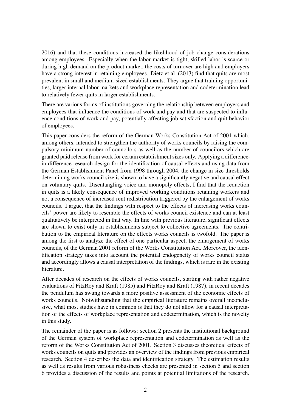2016) and that these conditions increased the likelihood of job change considerations among employees. Especially when the labor market is tight, skilled labor is scarce or during high demand on the product market, the costs of turnover are high and employers have a strong interest in retaining employees. Dietz et al. (2013) find that quits are most prevalent in small and medium-sized establishments. They argue that training opportunities, larger internal labor markets and workplace representation and codetermination lead to relatively fewer quits in larger establishments.

There are various forms of institutions governing the relationship between employers and employees that influence the conditions of work and pay and that are suspected to influence conditions of work and pay, potentially affecting job satisfaction and quit behavior of employees.

This paper considers the reform of the German Works Constitution Act of 2001 which, among others, intended to strengthen the authority of works councils by raising the compulsory minimum number of councilors as well as the number of councilors which are granted paid release from work for certain establishment sizes only. Applying a differencein-difference research design for the identification of causal effects and using data from the German Establishment Panel from 1998 through 2004, the change in size thresholds determining works council size is shown to have a significantly negative and causal effect on voluntary quits. Disentangling voice and monopoly effects, I find that the reduction in quits is a likely consequence of improved working conditions retaining workers and not a consequence of increased rent redistribution triggered by the enlargement of works councils. I argue, that the findings with respect to the effects of increasing works councils' power are likely to resemble the effects of works council existence and can at least qualitatively be interpreted in that way. In line with previous literature, significant effects are shown to exist only in establishments subject to collective agreements. The contribution to the empirical literature on the effects works councils is twofold. The paper is among the first to analyze the effect of one particular aspect, the enlargement of works councils, of the German 2001 reform of the Works Constitution Act. Moreover, the identification strategy takes into account the potential endogeneity of works council status and accordingly allows a causal interpretation of the findings, which is rare in the existing literature.

After decades of research on the effects of works councils, starting with rather negative evaluations of FitzRoy and Kraft (1985) and FitzRoy and Kraft (1987), in recent decades the pendulum has swung towards a more positive assessment of the economic effects of works councils. Notwithstanding that the empirical literature remains overall inconclusive, what most studies have in common is that they do not allow for a causal interpretation of the effects of workplace representation and codetermination, which is the novelty in this study.

The remainder of the paper is as follows: section 2 presents the institutional background of the German system of workplace representation and codetermination as well as the reform of the Works Constitution Act of 2001. Section 3 discusses theoretical effects of works councils on quits and provides an overview of the findings from previous empirical research. Section 4 describes the data and identification strategy. The estimation results as well as results from various robustness checks are presented in section 5 and section 6 provides a discussion of the results and points at potential limitations of the research.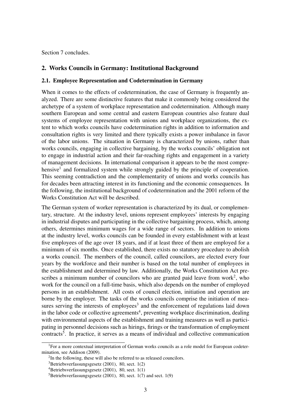Section 7 concludes.

## 2. Works Councils in Germany: Institutional Background

#### 2.1. Employee Representation and Codetermination in Germany

When it comes to the effects of codetermination, the case of Germany is frequently analyzed. There are some distinctive features that make it commonly being considered the archetype of a system of workplace representation and codetermination. Although many southern European and some central and eastern European countries also feature dual systems of employee representation with unions and workplace organizations, the extent to which works councils have codetermination rights in addition to information and consultation rights is very limited and there typically exists a power imbalance in favor of the labor unions. The situation in Germany is characterized by unions, rather than works councils, engaging in collective bargaining, by the works councils' obligation not to engage in industrial action and their far-reaching rights and engagement in a variety of management decisions. In international comparison it appears to be the most comprehensive<sup>1</sup> and formalized system while strongly guided by the principle of cooperation. This seeming contradiction and the complementarity of unions and works councils has for decades been attracting interest in its functioning and the economic consequences. In the following, the institutional background of codetermination and the 2001 reform of the Works Constitution Act will be described.

The German system of worker representation is characterized by its dual, or complementary, structure. At the industry level, unions represent employees' interests by engaging in industrial disputes and participating in the collective bargaining process, which, among others, determines minimum wages for a wide range of sectors. In addition to unions at the industry level, works councils can be founded in every establishment with at least five employees of the age over 18 years, and if at least three of them are employed for a minimum of six months. Once established, there exists no statutory procedure to abolish a works council. The members of the council, called councilors, are elected every four years by the workforce and their number is based on the total number of employees in the establishment and determined by law. Additionally, the Works Constitution Act prescribes a minimum number of councilors who are granted paid leave from work<sup>2</sup>, who work for the council on a full-time basis, which also depends on the number of employed persons in an establishment. All costs of council election, initiation and operation are borne by the employer. The tasks of the works councils comprise the initiation of measures serving the interests of employees<sup>3</sup> and the enforcement of regulations laid down in the labor code or collective agreements<sup>4</sup>, preventing workplace discrimination, dealing with environmental aspects of the establishment and training measures as well as participating in personnel decisions such as hirings, firings or the transformation of employment contracts<sup>5</sup>. In practice, it serves as a means of individual and collective communication

<sup>&</sup>lt;sup>1</sup>For a more contextual interpretation of German works councils as a role model for European codetermination, see Addison (2009).

<sup>&</sup>lt;sup>2</sup>In the following, these will also be referred to as released councilors.

 $3$ Betriebsverfassungsgesetz (2001), 80, sect. 1(2)

 $4$ Betriebsverfassungsgesetz (2001), 80, sect. 1(1)

 ${}^{5}$ Betriebsverfassungsgesetz (2001), 80, sect. 1(7) and sect. 1(9)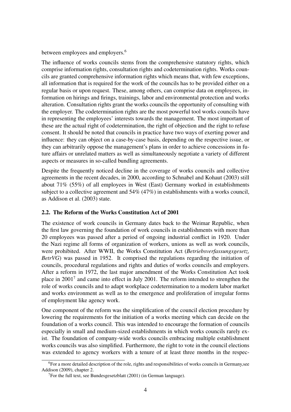between employees and employers.<sup>6</sup>

The influence of works councils stems from the comprehensive statutory rights, which comprise information rights, consultation rights and codetermination rights. Works councils are granted comprehensive information rights which means that, with few exceptions, all information that is required for the work of the councils has to be provided either on a regular basis or upon request. These, among others, can comprise data on employees, information on hirings and firings, trainings, labor and environmental protection and works alteration. Consultation rights grant the works councils the opportunity of consulting with the employer. The codetermination rights are the most powerful tool works councils have in representing the employees' interests towards the management. The most important of these are the actual right of codetermination, the right of objection and the right to refuse consent. It should be noted that councils in practice have two ways of exerting power and influence: they can object on a case-by-case basis, depending on the respective issue, or they can arbitrarily oppose the management's plans in order to achieve concessions in future affairs or unrelated matters as well as simultaneously negotiate a variety of different aspects or measures in so-called bundling agreements.

Despite the frequently noticed decline in the coverage of works councils and collective agreements in the recent decades, in 2000, according to Schnabel and Kohaut (2003) still about 71% (55%) of all employees in West (East) Germany worked in establishments subject to a collective agreement and 54% (47%) in establishments with a works council, as Addison et al. (2003) state.

## 2.2. The Reform of the Works Constitution Act of 2001

The existence of work councils in Germany dates back to the Weimar Republic, when the first law governing the foundation of work councils in establishments with more than 20 employees was passed after a period of ongoing industrial conflict in 1920. Under the Nazi regime all forms of organization of workers, unions as well as work councils, were prohibited. After WWII, the Works Constitution Act (*Betriebsverfassungsgesetz, BetrVG*) was passed in 1952. It comprised the regulations regarding the initiation of councils, procedural regulations and rights and duties of works councils and employers. After a reform in 1972, the last major amendment of the Works Constitution Act took place in  $2001<sup>7</sup>$  and came into effect in July 2001. The reform intended to strengthen the role of works councils and to adapt workplace codetermination to a modern labor market and works environment as well as to the emergence and proliferation of irregular forms of employment like agency work.

One component of the reform was the simplification of the council election procedure by lowering the requirements for the initiation of a works meeting which can decide on the foundation of a works council. This was intended to encourage the formation of councils especially in small and medium-sized establishments in which works councils rarely exist. The foundation of company-wide works councils embracing multiple establishment works councils was also simplified. Furthermore, the right to vote in the council elections was extended to agency workers with a tenure of at least three months in the respec-

<sup>6</sup>For a more detailed description of the role, rights and responsibilities of works councils in Germany,see Addison (2009), chapter 2.

<sup>&</sup>lt;sup>7</sup>For the full text, see Bundesgesetzblatt (2001) (in German language).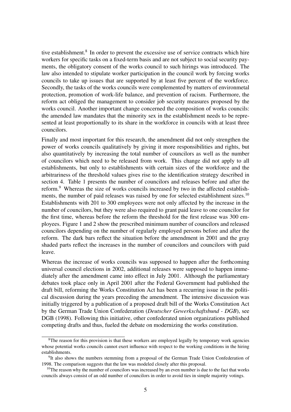tive establishment.<sup>8</sup> In order to prevent the excessive use of service contracts which hire workers for specific tasks on a fixed-term basis and are not subject to social security payments, the obligatory consent of the works council to such hirings was introduced. The law also intended to stipulate worker participation in the council work by forcing works councils to take up issues that are supported by at least five percent of the workforce. Secondly, the tasks of the works councils were complemented by matters of environmetal protection, promotion of work-life balance, and prevention of racism. Furthermore, the reform act obliged the management to consider job security measures proposed by the works council. Another important change concerned the composition of works councils: the amended law mandates that the minority sex in the establishment needs to be represented at least proportionally to its share in the workforce in councils with at least three councilors.

Finally and most important for this research, the amendment did not only strengthen the power of works councils qualitatively by giving it more responsibilities and rights, but also quantitatively by increasing the total number of councilors as well as the number of councilors which need to be released from work. This change did not apply to all establishments, but only to establishments with certain sizes of the workforce and the arbitrariness of the threshold values gives rise to the identification strategy described in section 4. Table 1 presents the number of councilors and releases before and after the reform.<sup>9</sup> Whereas the size of works councils increased by two in the affected establishments, the number of paid releases was raised by one for selected establishment sizes.<sup>10</sup> Establishments with 201 to 300 employees were not only affected by the increase in the number of councilors, but they were also required to grant paid leave to one councilor for the first time, whereas before the reform the threshold for the first release was 300 employees. Figure 1 and 2 show the prescribed minimum number of councilors and released councilors depending on the number of regularly employed persons before and after the reform. The dark bars reflect the situation before the amendment in 2001 and the gray shaded parts reflect the increases in the number of councilors and councilors with paid leave.

Whereas the increase of works councils was supposed to happen after the forthcoming universal council elections in 2002, additional releases were supposed to happen immediately after the amendment came into effect in July 2001. Although the parliamentary debates took place only in April 2001 after the Federal Government had published the draft bill, reforming the Works Constitution Act has been a recurring issue in the political discussion during the years preceding the amendment. The intensive discussion was initially triggered by a publication of a proposed draft bill of the Works Constitution Act by the German Trade Union Confederation (*Deutscher Gewerkschaftsbund - DGB*), see DGB (1998). Following this initiative, other confederated union organizations published competing drafts and thus, fueled the debate on modernizing the works constitution.

 $8$ The reason for this provision is that these workers are employed legally by temporary work agencies whose potential works councils cannot exert influence with respect to the working conditions in the hiring establishments.

<sup>&</sup>lt;sup>9</sup>It also shows the numbers stemming from a proposal of the German Trade Union Confederation of 1998. The comparison suggests that the law was modeled closely after this proposal.

 $10$ The reason why the number of councilors was increased by an even number is due to the fact that works councils always consist of an odd number of councilors in order to avoid ties in simple majority votings.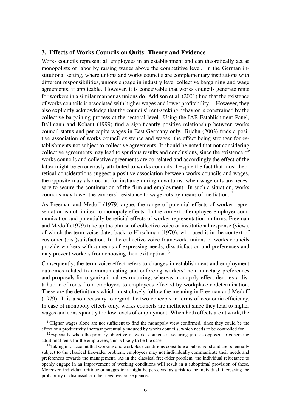#### 3. Effects of Works Councils on Quits: Theory and Evidence

Works councils represent all employees in an establishment and can theoretically act as monopolists of labor by raising wages above the competitive level. In the German institutional setting, where unions and works councils are complementary institutions with different responsibilities, unions engage in industry level collective bargaining and wage agreements, if applicable. However, it is conceivable that works councils generate rents for workers in a similar manner as unions do. Addison et al. (2001) find that the existence of works councils is associated with higher wages and lower profitability.<sup>11</sup> However, they also explicitly acknowledge that the councils' rent-seeking behavior is constrained by the collective bargaining process at the sectoral level. Using the IAB Establishment Panel, Bellmann and Kohaut (1999) find a significantly positive relationship between works council status and per-capita wages in East Germany only. Jirjahn (2003) finds a positive association of works council existence and wages, the effect being stronger for establishments not subject to collective agreements. It should be noted that not considering collective agreements may lead to spurious results and conclusions, since the existence of works councils and collective agreements are correlated and accordingly the effect of the latter might be erroneously attributed to works councils. Despite the fact that most theoretical considerations suggest a positive association between works councils and wages, the opposite may also occur, for instance during downturns, when wage cuts are necessary to secure the continuation of the firm and employment. In such a situation, works councils may lower the workers' resistance to wage cuts by means of mediation.<sup>12</sup>

As Freeman and Medoff (1979) argue, the range of potential effects of worker representation is not limited to monopoly effects. In the context of employee-employer communication and potentially beneficial effects of worker representation on firms, Freeman and Medoff (1979) take up the phrase of collective voice or institutional response (view), of which the term voice dates back to Hirschman (1970), who used it in the context of customer (dis-)satisfaction. In the collective voice framework, unions or works councils provide workers with a means of expressing needs, dissatisfaction and preferences and may prevent workers from choosing their exit option.<sup>13</sup>

Consequently, the term voice effect refers to changes in establishment and employment outcomes related to communicating and enforcing workers' non-monetary preferences and proposals for organizational restructuring, whereas monopoly effect denotes a distribution of rents from employers to employees effected by workplace codetermination. These are the definitions which most closely follow the meaning in Freeman and Medoff (1979). It is also necessary to regard the two concepts in terms of economic efficiency. In case of monopoly effects only, works councils are inefficient since they lead to higher wages and consequently too low levels of employment. When both effects are at work, the

 $11$ Higher wages alone are not sufficient to find the monopoly view confirmed, since they could be the effect of a productivity increase potentially induced by works councils, which needs to be controlled for.

 $12$ Especially when the primary objective of works councils is securing jobs as opposed to generating additional rents for the employees, this is likely to be the case.

<sup>&</sup>lt;sup>13</sup>Taking into account that working and workplace conditions constitute a public good and are potentially subject to the classical free-rider problem, employees may not individually communicate their needs and preferences towards the management. As in the classical free-rider problem, the individual reluctance to openly engage in an improvement of working conditions will result in a suboptimal provision of these. Moreover, individual critique or suggestions might be perceived as a risk to the individual, increasing the probability of dismissal or other negative consequences.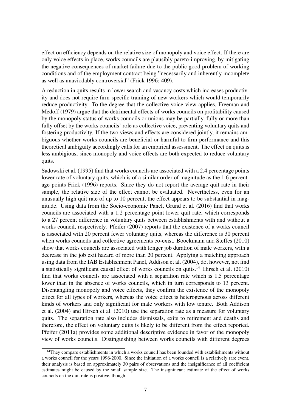effect on efficiency depends on the relative size of monopoly and voice effect. If there are only voice effects in place, works councils are plausibly pareto-improving, by mitigating the negative consequences of market failure due to the public good problem of working conditions and of the employment contract being "necessarily and inherently incomplete as well as unaviodably controversial" (Frick 1996: 409).

A reduction in quits results in lower search and vacancy costs which increases productivity and does not require firm-specific training of new workers which would temporarily reduce productivity. To the degree that the collective voice view applies, Freeman and Medoff (1979) argue that the detrimental effects of works councils on profitability caused by the monopoly status of works councils or unions may be partially, fully or more than fully offset by the works councils' role as collective voice, preventing voluntary quits and fostering productivity. If the two views and effects are considered jointly, it remains ambiguous whether works councils are beneficial or harmful to firm performance and this theoretical ambiguity accordingly calls for an empirical assessment. The effect on quits is less ambigious, since monopoly and voice effects are both expected to reduce voluntary quits.

Sadowski et al. (1995) find that works councils are associated with a 2.4 percentage points lower rate of voluntary quits, which is of a similar order of magnitude as the 1.6 percentage points Frick (1996) reports. Since they do not report the average quit rate in their sample, the relative size of the effect cannot be evaluated. Nevertheless, even for an unusually high quit rate of up to 10 percent, the effect appears to be substantial in magnitude. Using data from the Socio-economic Panel, Grund et al. (2016) find that works councils are associated with a 1.2 percentage point lower quit rate, which corresponds to a 27 percent difference in voluntary quits between establishments with and without a works council, respectively. Pfeifer (2007) reports that the existence of a works council is associated with 20 percent fewer voluntary quits, whereas the difference is 30 percent when works councils and collective agreements co-exist. Boockmann and Steffes (2010) show that works councils are associated with longer job duration of male workers, with a decrease in the job exit hazard of more than 20 percent. Applying a matching approach using data from the IAB Establishment Panel, Addison et al. (2004), do, however, not find a statistically significant causal effect of works councils on quits.<sup>14</sup> Hirsch et al. (2010) find that works councils are associated with a separation rate which is 1.5 percentage lower than in the absence of works councils, which in turn corresponds to 13 percent. Disentangling monopoly and voice effects, they confirm the existence of the monopoly effect for all types of workers, whereas the voice effect is heterogenous across different kinds of workers and only significant for male workers with low tenure. Both Addison et al. (2004) and Hirsch et al. (2010) use the separation rate as a measure for voluntary quits. The separation rate also includes dismissals, exits to retirement and deaths and therefore, the effect on voluntary quits is likely to be different from the effect reported. Pfeifer (2011a) provides some additional descriptive evidence in favor of the monopoly view of works councils. Distinguishing between works councils with different degrees

<sup>&</sup>lt;sup>14</sup>They compare establishments in which a works council has been founded with establishments without a works council for the years 1996-2000. Since the initiation of a works council is a relatively rare event, their analysis is based on approximately 30 pairs of observations and the insignificance of all coefficient estimates might be caused by the small sample size. The insignificant estimate of the effect of works councils on the quit rate is positive, though.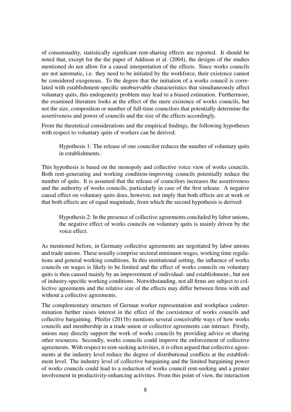of consensuality, statistically significant rent-sharing effects are reported. It should be noted that, except for the the paper of Addison et al. (2004), the designs of the studies mentioned do not allow for a causal interpretation of the effects. Since works councils are not automatic, i.e. they need to be initiated by the workforce, their existence cannot be considered exogenous. To the degree that the initiation of a works council is correlated with establishment-specific unobservable characteristics that simultaneously affect voluntary quits, this endogeneity problem may lead to a biased estimation. Furthermore, the examined literature looks at the effect of the mere existence of works councils, but not the size, composition or number of full-time councilors that potentially determine the assertiveness and power of councils and the size of the effects accordingly.

From the theoretical considerations and the empirical findings, the following hypotheses with respect to voluntary quits of workers can be derived:

Hypothesis 1: The release of one councilor reduces the number of voluntary quits in establishments.

This hypothesis is based on the monopoly and collective voice view of works councils. Both rent-generating and working condition-improving councils potentially reduce the number of quits. It is assumed that the release of councilors increases the assertiveness and the authority of works councils, particularly in case of the first release. A negative causal effect on voluntary quits does, however, not imply that both effects are at work or that both effects are of equal magnitude, from which the second hypothesis is derived:

Hypothesis 2: In the presence of collective agreements concluded by labor unions, the negative effect of works councils on voluntary quits is mainly driven by the voice effect.

As mentioned before, in Germany collective agreements are negotiated by labor unions and trade unions. These usually comprise sectoral minimum wages, working time regulations and general working conditions. In this institutional setting, the influence of works councils on wages is likely to be limited and the effect of works councils on voluntary quits is then caused mainly by an improvement of individual- and establishment-, but not of industry-specific working conditions. Notwithstanding, not all firms are subject to collective agreements and the relative size of the effects may differ between firms with and without a collective agreements.

The complementary structure of German worker representation and workplace codetermination further raises interest in the effect of the coexistence of works councils and collective bargaining. Pfeifer (2011b) mentions several conceivable ways of how works councils and membership in a trade union or collective agreements can interact. Firstly, unions may directly support the work of works councils by providing advice or sharing other resources. Secondly, works councils could improve the enforcement of collective agreements. With respect to rent-seeking activities, it is often argued that collective agreements at the industry level reduce the degree of distributional conflicts at the establishment level. The industry level of collective bargaining and the limited bargaining power of works councils could lead to a reduction of works council rent-seeking and a greater involvement in productivity-enhancing activities. From this point of view, the interaction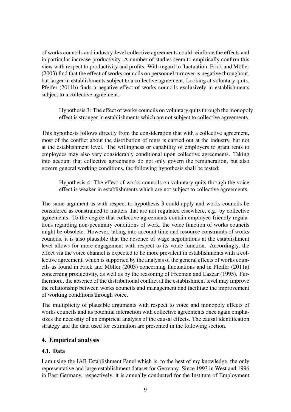of works councils and industry-level collective agreements could reinforce the effects and in particular increase productivity. A number of studies seem to empirically confirm this view with respect to productivity and profits. With regard to fluctuation, Frick and Möller (2003) find that the effect of works councils on personnel turnover is negative throughout, but larger in establishments subject to a collective agreement. Looking at voluntary quits, Pfeifer (2011b) finds a negative effect of works councils exclusively in establishments subject to a collective agreement.

Hypothesis 3: The effect of works councils on voluntary quits through the monopoly effect is stronger in establishments which are not subject to collective agreements.

This hypothesis follows directly from the consideration that with a collective agreement, most of the conflict about the distribution of rents is carried out at the industry, but not at the establishment level. The willingness or capability of employers to grant rents to employees may also vary considerably conditional upon collective agreements. Taking into account that collective agreements do not only govern the remuneration, but also govern general working conditions, the following hypothesis shall be tested:

Hypothesis 4: The effect of works councils on voluntary quits through the voice effect is weaker in establishments which are not subject to collective agreements.

The same argument as with respect to hypothesis 3 could apply and works councils be considered as constrained to matters that are not regulated elsewhere, e.g. by collective agreements. To the degree that collective agreements contain employee-friendly regulations regarding non-pecuniary conditions of work, the voice function of works councils might be obsolete. However, taking into account time and resource constraints of works councils, it is also plausible that the absence of wage negotiations at the establishment level allows for more engagement with respect to its voice function. Accordingly, the effect via the voice channel is expected to be more prevalent in establishments with a collective agreement, which is supported by the analysis of the general effects of works councils as found in Frick and Möller  $(2003)$  concerning fluctuations and in Pfeifer  $(2011a)$ concerning productivity, as well as by the reasoning of Freeman and Lazear (1995). Furthermore, the absence of the distributional conflict at the establishment level may improve the relationship between works councils and management and facilitate the improvement of working conditions through voice.

The multiplicity of plausible arguments with respect to voice and monopoly effects of works councils and its potential interaction with collective agreements once again emphasizes the necessity of an empirical analysis of the causal effects. The causal identification strategy and the data used for estimation are presented in the following section.

## 4. Empirical analysis

## 4.1. Data

I am using the IAB Establishment Panel which is, to the best of my knowledge, the only representative and large establishment dataset for Germany. Since 1993 in West and 1996 in East Germany, respectively, it is annually conducted for the Institute of Employment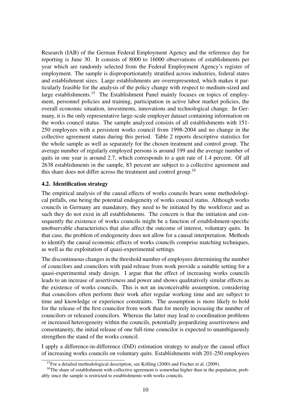Research (IAB) of the German Federal Employment Agency and the reference day for reporting is June 30. It consists of 8000 to 16000 observations of establishments per year which are randomly selected from the Federal Employment Agency's register of employment. The sample is disproportionately stratified across industries, federal states and establishment sizes. Large establishments are overrepresented, which makes it particularly feasible for the analysis of the policy change with respect to medium-sized and large establishments.<sup>15</sup> The Establishment Panel mainly focuses on topics of employment, personnel policies and training, participation in active labor market policies, the overall economic situation, investments, innovations and technological change. In Germany, it is the only representative large-scale employer dataset containing information on the works council status. The sample analyzed consists of all establishments with 151- 250 employees with a persistent works council from 1998-2004 and no change in the collective agreement status during this period. Table 2 reports descriptive statistics for the whole sample as well as separately for the chosen treatment and control group. The average number of regularly employed persons is around 199 and the average number of quits in one year is around 2.7, which corresponds to a quit rate of 1.4 percent. Of all 2638 establishments in the sample, 83 percent are subject to a collective agreement and this share does not differ across the treatment and control group.<sup>16</sup>

## 4.2. Identification strategy

The empirical analysis of the causal effects of works councils bears some methodological pitfalls, one being the potential endogeneity of works council status. Although works councils in Germany are mandatory, they need to be initiated by the workforce and as such they do not exist in all establishments. The concern is that the initiation and consequently the existence of works councils might be a function of establishment-specific unobservable characteristics that also affect the outcome of interest, voluntary quits. In that case, the problem of endogeneity does not allow for a causal interpretation. Methods to identify the causal economic effects of works councils comprise matching techniques, as well as the exploitation of quasi-experimental settings.

The discontinuous changes in the threshold number of employees determining the number of councilors and councilors with paid release from work provide a suitable setting for a quasi-experimental study design. I argue that the effect of increasing works councils leads to an increase of assertiveness and power and shows qualitatively similar effects as the existence of works councils. This is not an inconceivable assumption, considering that councilors often perform their work after regular working time and are subject to time and knowledge or experience constraints. The assumption is more likely to hold for the release of the first councilor from work than for merely increasing the number of councilors or released councilors. Whereas the latter may lead to coordination problems or increased heterogeneity within the councils, potentially jeopardizing assertiveness and consentaneity, the initial release of one full-time councilor is expected to unambiguously strengthen the stand of the works council.

I apply a difference-in-difference (DiD) estimation strategy to analyze the causal effect of increasing works councils on voluntary quits. Establishments with 201-250 employees

<sup>&</sup>lt;sup>15</sup>For a detailed methodological description, see Kölling  $(2000)$  and Fischer et al.  $(2009)$ .

<sup>&</sup>lt;sup>16</sup>The share of establishment with collective agreement is somewhat higher than in the population, probably since the sample is restricted to establishments with works councils.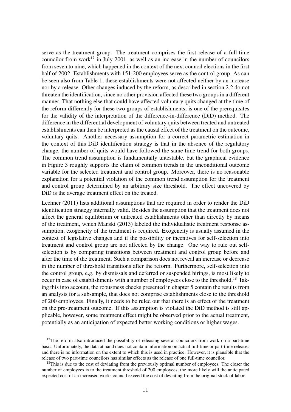serve as the treatment group. The treatment comprises the first release of a full-time councilor from work<sup>17</sup> in July 2001, as well as an increase in the number of councilors from seven to nine, which happened in the context of the next council elections in the first half of 2002. Establishments with 151-200 employees serve as the control group. As can be seen also from Table 1, these establishments were not affected neither by an increase nor by a release. Other changes induced by the reform, as described in section 2.2 do not threaten the identification, since no other provision affected these two groups in a different manner. That nothing else that could have affected voluntary quits changed at the time of the reform differently for these two groups of establishments, is one of the prerequisites for the validity of the interpretation of the difference-in-difference (DiD) method. The difference in the differential development of voluntary quits between treated and untreated establishments can then be interpreted as the causal effect of the treatment on the outcome, voluntary quits. Another necessary assumption for a correct parametric estimation in the context of this DiD identification strategy is that in the absence of the regulatory change, the number of quits would have followed the same time trend for both groups. The common trend assumption is fundamentally untestable, but the graphical evidence in Figure 3 roughly supports the claim of common trends in the unconditional outcome variable for the selected treatment and control group. Moreover, there is no reasonable explanation for a potential violation of the common trend assumption for the treatment and control group determined by an arbitrary size threshold. The effect uncovered by DiD is the average treatment effect on the treated.

Lechner (2011) lists additional assumptions that are required in order to render the DiD identification strategy internally valid. Besides the assumption that the treatment does not affect the general equilibrium or untreated establishments other than directly by means of the treatment, which Manski (2013) labeled the individualistic treatment response assumption, exogeneity of the treatment is required. Exogeneity is usually assumed in the context of legislative changes and if the possibility or incentives for self-selection into treatment and control group are not affected by the change. One way to rule out selfselection is by comparing transitions between treatment and control group before and after the time of the treatment. Such a comparison does not reveal an increase or decrease in the number of threshold transitions after the reform. Furthermore, self-selection into the control group, e.g. by dismissals and deferred or suspended hirings, is most likely to occur in case of establishments with a number of employees close to the threshold.<sup>18</sup> Taking this into account, the robustness checks presented in chapter 5 contain the results from an analysis for a subsample, that does not comprise establishments close to the threshold of 200 employees. Finally, it needs to be ruled out that there is an effect of the treatment on the pre-treatment outcome. If this assumption is violated the DiD method is still applicable, however, some treatment effect might be observed prior to the actual treatment, potentially as an anticipation of expected better working conditions or higher wages.

<sup>&</sup>lt;sup>17</sup>The reform also introduced the possibility of releasing several councilors from work on a part-time basis. Unfortunately, the data at hand does not contain information on actual full-time or part-time releases and there is no information on the extent to which this is used in practice. However, it is plausible that the release of two part-time councilors has similar effects as the release of one full-time councilor.

<sup>&</sup>lt;sup>18</sup>This is due to the cost of deviating from the previously optimal number of employees. The closer the number of employees is to the treatment threshold of 200 employees, the more likely will the anticipated expected cost of an increased works council exceed the cost of deviating from the original stock of labor.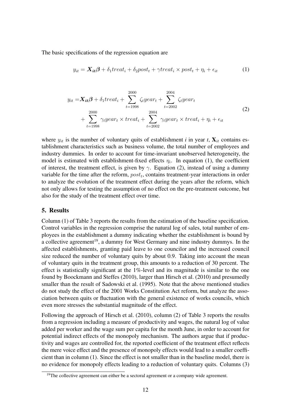The basic specifications of the regression equation are

$$
y_{it} = \mathbf{X}_{it} \boldsymbol{\beta} + \delta_1 treat_i + \delta_2 post_t + \gamma treat_i \times post_t + \eta_i + \epsilon_{it}
$$
 (1)

$$
y_{it} = \mathbf{X}_{it} \boldsymbol{\beta} + \delta_1 treat_i + \sum_{t=1998}^{2000} \zeta_t year_t + \sum_{t=2002}^{2004} \zeta_t year_t + \sum_{t=1998}^{2000} \gamma_t year_t \times treat_i + \sum_{t=2002}^{2004} \gamma_t year_t \times treat_i + \eta_i + \epsilon_{it}
$$
 (2)

where  $y_{it}$  is the number of voluntary quits of establishment *i* in year *t*,  $\mathbf{X}_{it}$  contains establishment characteristics such as business volume, the total number of employees and industry dummies. In order to account for time-invariant unobserved heterogeneity, the model is estimated with establishment-fixed effects  $\eta_i$ . In equation (1), the coefficient of interest, the treatment effect, is given by  $\gamma$ . Equation (2), instead of using a dummy variable for the time after the reform,  $post_t$ , contains treatment-year interactions in order to analyze the evolution of the treatment effect during the years after the reform, which not only allows for testing the assumption of no effect on the pre-treatment outcome, but also for the study of the treatment effect over time.

#### 5. Results

Column (1) of Table 3 reports the results from the estimation of the baseline specification. Control variables in the regression comprise the natural log of sales, total number of employees in the establishment a dummy indicating whether the establishment is bound by a collective agreement<sup>19</sup>, a dummy for West Germany and nine industry dummys. In the affected establishments, granting paid leave to one councilor and the increased council size reduced the number of voluntary quits by about 0.9. Taking into account the mean of voluntary quits in the treatment group, this amounts to a reduction of 30 percent. The effect is statistically significant at the 1%-level and its magnitude is similar to the one found by Boockmann and Steffes (2010), larger than Hirsch et al. (2010) and presumedly smaller than the result of Sadowski et al. (1995). Note that the above mentioned studies do not study the effect of the 2001 Works Constitution Act reform, but analyze the association between quits or fluctuation with the general existence of works councils, which even more stresses the substantial magnitude of the effect.

Following the approach of Hirsch et al. (2010), column (2) of Table 3 reports the results from a regression including a measure of productivity and wages, the natural log of value added per worker and the wage sum per capita for the month June, in order to account for potential indirect effects of the monopoly mechanism. The authors argue that if productivity and wages are controlled for, the reported coefficient of the treatment effect reflects the mere voice effect and the presence of monopoly effects would lead to a smaller coefficient than in column (1). Since the effect is not smaller than in the baseline model, there is no evidence for monopoly effects leading to a reduction of voluntary quits. Columns (3)

 $19$ The collective agreement can either be a sectoral agreement or a company wide agreement.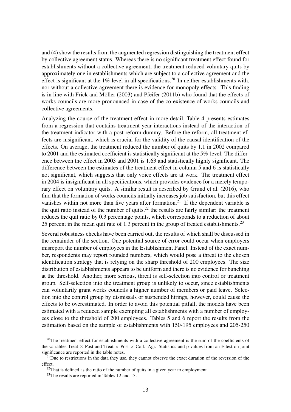and (4) show the results from the augmented regression distinguishing the treatment effect by collective agreement status. Whereas there is no significant treatment effect found for establishments without a collective agreement, the treatment reduced voluntary quits by approximately one in establishments which are subject to a collective agreement and the effect is significant at the 1%-level in all specifications.<sup>20</sup> In neither establishments with, nor without a collective agreement there is evidence for monopoly effects. This finding is in line with Frick and Möller  $(2003)$  and Pfeifer  $(2011b)$  who found that the effects of works councils are more pronounced in case of the co-existence of works councils and collective agreements.

Analyzing the course of the treatment effect in more detail, Table 4 presents estimates from a regression that contains treatment-year interactions instead of the interaction of the treatment indicator with a post-reform dummy. Before the reform, all treatment effects are insignificant, which is crucial for the validity of the causal identification of the effects. On average, the treatment reduced the number of quits by 1.1 in 2002 compared to 2001 and the estimated coefficient is statistically significant at the 5%-level. The difference between the effect in 2003 and 2001 is 1.63 and statistically highly significant. The difference between the estimates of the treatment effect in column 5 and 6 is statistically not significant, which suggests that only voice effects are at work. The treatment effect in 2004 is insignificant in all specifications, which provides evidence for a merely temporary effect on voluntary quits. A similar result is described by Grund et al. (2016), who find that the formation of works councils initially increases job satisfaction, but this effect vanishes within not more than five years after formation.<sup>21</sup> If the dependent variable is the quit ratio instead of the number of quits, $^{22}$  the results are fairly similar: the treatment reduces the quit ratio by 0.3 percentage points, which corresponds to a reduction of about 25 percent in the mean quit rate of 1.3 percent in the group of treated establishments.<sup>23</sup>

Several robustness checks have been carried out, the results of which shall be discussed in the remainder of the section. One potential source of error could occur when employers misreport the number of employees in the Establishment Panel. Instead of the exact number, respondents may report rounded numbers, which would pose a threat to the chosen identification strategy that is relying on the sharp threshold of 200 employees. The size distribution of establishments appears to be uniform and there is no evidence for bunching at the threshold. Another, more serious, threat is self-selection into control or treatment group. Self-selection into the treatment group is unlikely to occur, since establishments can voluntarily grant works councils a higher number of members or paid leave. Selection into the control group by dismissals or suspended hirings, however, could cause the effects to be overestimated. In order to avoid this potential pitfall, the models have been estimated with a reduced sample exempting all establishments with a number of employees close to the threshold of 200 employees. Tables 5 and 6 report the results from the estimation based on the sample of establishments with 150-195 employees and 205-250

<sup>&</sup>lt;sup>20</sup>The treatment effect for establishments with a collective agreement is the sum of the coefficients of the variables Treat  $\times$  Post and Treat  $\times$  Post  $\times$  Coll. Agr. Statistics and p-values from an F-test on joint significance are reported in the table notes.

 $2<sup>1</sup>$ Due to restrictions in the data they use, they cannot observe the exact duration of the reversion of the effect.

 $22$ That is defined as the ratio of the number of quits in a given year to employment.

<sup>&</sup>lt;sup>23</sup>The results are reported in Tables 12 and 13.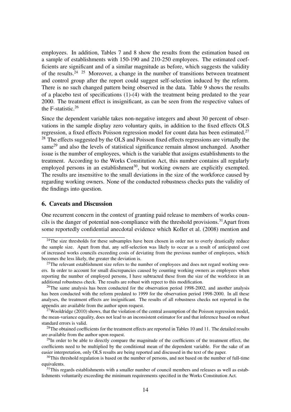employees. In addition, Tables 7 and 8 show the results from the estimation based on a sample of establishments with 150-190 and 210-250 employees. The estimated coefficients are significant and of a similar magnitude as before, which suggests the validity of the results.<sup>24 25</sup> Moreover, a change in the number of transitions between treatment and control group after the report could suggest self-selection induced by the reform. There is no such changed pattern being observed in the data. Table 9 shows the results of a placebo test of specifications (1)-(4) with the treatment being predated to the year 2000. The treatment effect is insignificant, as can be seen from the respective values of the F-statistic.<sup>26</sup>

Since the dependent variable takes non-negative integers and about 30 percent of observations in the sample display zero voluntary quits, in addition to the fixed effects OLS regression, a fixed effects Poisson regression model for count data has been estimated.<sup>27</sup>  $28$  The effects suggested by the OLS and Poisson fixed effects regressions are virtually the same<sup>29</sup> and also the levels of statistical significance remain almost unchanged. Another issue is the number of employees, which is the variable that assigns establishments to the treatment. According to the Works Constitution Act, this number contains all regularly employed persons in an establishment<sup>30</sup>, but working owners are explicitly exempted. The results are insensitive to the small deviations in the size of the workforce caused by regarding working owners. None of the conducted robustness checks puts the validity of the findings into question.

### 6. Caveats and Discussion

One recurrent concern in the context of granting paid release to members of works councils is the danger of potential non-compliance with the threshold provisions.<sup>31</sup> Apart from some reportedly confidential anecdotal evidence which Koller et al. (2008) mention and

 $24$ The size thresholds for these subsamples have been chosen in order not to overly drastically reduce the sample size. Apart from that, any self-selection was likely to occur as a result of anticipated cost of increased works councils exceeding costs of deviating from the previous number of employees, which becomes the less likely, the greater the deviation is.

 $25$ The relevant establishment size refers to the number of employees and does not regard working owners. In order to account for small discrepancies caused by counting working owners as employees when reporting the number of employed persons, I have subtracted these from the size of the workforce in an additional robustness check. The results are robust with repect to this modification.

 $^{26}$ The same analysis has been conducted for the observation period 1998-2002, and another analysis has been conducted with the reform predated to 1999 for the observation period 1998-2000. In all these analyses, the treatment effects are insignificant. The results of all robustness checks not reported in the appendix are available from the author upon request.

 $^{27}$ Wooldridge (2010) shows, that the violation of the central assumption of the Poisson regression model, the mean-variance equality, does not lead to an inconsistent estimator for and that inference based on robust standard errors is valid.

 $28$ The obtained coefficients for the treatment effects are reported in Tables 10 and 11. The detailed results are available from the author upon request.

<sup>&</sup>lt;sup>29</sup>In order to be able to directly compare the magnitude of the coefficients of the treatment effect, the coefficients need to be multiplied by the conditional mean of the dependent variable. For the sake of an easier interpretation, only OLS results are being reported and discussed in the text of the paper.

<sup>&</sup>lt;sup>30</sup>This threshold regulation is based on the number of persons, and not based on the number of full-time equivalents.

 $31$ This regards establishments with a smaller number of council members and releases as well as establishments voluntarily exceeding the minimum requirements specified in the Works Constitution Act.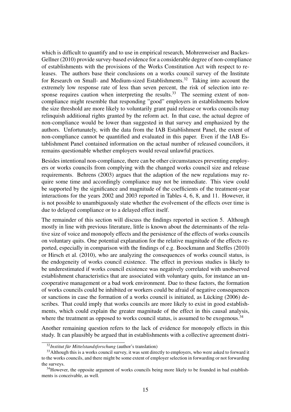which is difficult to quantify and to use in empirical research, Mohrenweiser and Backes-Gellner (2010) provide survey-based evidence for a considerable degree of non-compliance of establishments with the provisions of the Works Constitution Act with respect to releases. The authors base their conclusions on a works council survey of the Institute for Research on Small- and Medium-sized Establishments.<sup>32</sup> Taking into account the extremely low response rate of less than seven percent, the risk of selection into response requires caution when interpreting the results.<sup>33</sup> The seeming extent of noncompliance might resemble that responding "good" employers in establishments below the size threshold are more likely to voluntarily grant paid release or works councils may relinquish additional rights granted by the reform act. In that case, the actual degree of non-compliance would be lower than suggested in that survey and emphasized by the authors. Unfortunately, with the data from the IAB Establishment Panel, the extent of non-compliance cannot be quantified and evaluated in this paper. Even if the IAB Establishment Panel contained information on the actual number of released councilors, it remains questionable whether employers would reveal unlawful practices.

Besides intentional non-compliance, there can be other circumstances preventing employers or works councils from complying with the changed works council size and release requirements. Behrens (2003) argues that the adaption of the new regulations may require some time and accordingly compliance may not be immediate. This view could be supported by the significance and magnitude of the coefficients of the treatment-year interactions for the years 2002 and 2003 reported in Tables 4, 6, 8, and 11. However, it is not possible to unambiguously state whether the evolvement of the effects over time is due to delayed compliance or to a delayed effect itself.

The remainder of this section will discuss the findings reported in section 5. Although mostly in line with previous literature, little is known about the determinants of the relative size of voice and monopoly effects and the persistence of the effects of works councils on voluntary quits. One potential explanation for the relative magnitude of the effects reported, especially in comparison with the findings of e.g. Boockmann and Steffes (2010) or Hirsch et al. (2010), who are analyzing the consequences of works council status, is the endogeneity of works council existence. The effect in previous studies is likely to be underestimated if works council existence was negatively correlated with unobserved establishment characteristics that are associated with voluntary quits, for instance an uncooperative management or a bad work environment. Due to these factors, the formation of works councils could be inhibited or workers could be afraid of negative consequences or sanctions in case the formation of a works council is initiated, as Lücking (2006) describes. That could imply that works councils are more likely to exist in good establishments, which could explain the greater magnitude of the effect in this causal analysis, where the treatment as opposed to works council status, is assumed to be exogenous.<sup>34</sup>

Another remaining question refers to the lack of evidence for monopoly effects in this study. It can plausibly be argued that in establishments with a collective agreement distri-

<sup>&</sup>lt;sup>32</sup>*Institut für Mittelstandsforschung* (author's translation)

<sup>&</sup>lt;sup>33</sup> Although this is a works council survey, it was sent directly to employers, who were asked to forward it to the works councils, and there might be some extent of employer selection in forwarding or not forwarding the surveys.

<sup>&</sup>lt;sup>34</sup>However, the opposite argument of works councils being more likely to be founded in bad establishments is conceivable, as well.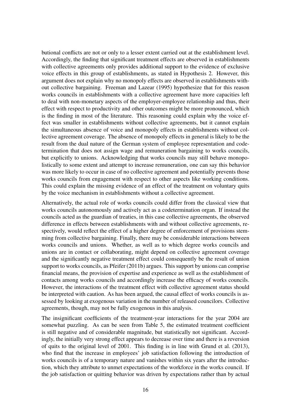butional conflicts are not or only to a lesser extent carried out at the establishment level. Accordingly, the finding that significant treatment effects are observed in establishments with collective agreements only provides additional support to the evidence of exclusive voice effects in this group of establishments, as stated in Hypothesis 2. However, this argument does not explain why no monopoly effects are observed in establishments without collective bargaining. Freeman and Lazear (1995) hypothesize that for this reason works councils in establishments with a collective agreement have more capacities left to deal with non-monetary aspects of the employer-employee relationship and thus, their effect with respect to productivity and other outcomes might be more pronounced, which is the finding in most of the literature. This reasoning could explain why the voice effect was smaller in establishments without collective agreements, but it cannot explain the simultaneous absence of voice and monopoly effects in establishments without collective agreement coverage. The absence of monopoly effects in general is likely to be the result from the dual nature of the German system of employee representation and codetermination that does not assign wage and remuneration bargaining to works councils, but explicitly to unions. Acknowledging that works councils may still behave monopolistically to some extent and attempt to increase remuneration, one can say this behavior was more likely to occur in case of no collective agreement and potentially prevents those works councils from engagement with respect to other aspects like working conditions. This could explain the missing evidence of an effect of the treatment on voluntary quits by the voice mechanism in establishments without a collective agreement.

Alternatively, the actual role of works councils could differ from the classical view that works councils autonomously and actively act as a codetermination organ. If instead the councils acted as the guardian of treaties, in this case collective agreements, the observed difference in effects between establishments with and without collective agreements, respectively, would reflect the effect of a higher degree of enforcement of provisions stemming from collective bargaining. Finally, there may be considerable interactions between works councils and unions. Whether, as well as to which degree works councils and unions are in contact or collaborating, might depend on collective agreement coverage and the significantly negative treatment effect could consequently be the result of union support to works councils, as Pfeifer (2011b) argues. This support by unions can comprise financial means, the provision of expertise and experience as well as the establishment of contacts among works councils and accordingly increase the efficacy of works councils. However, the interactions of the treatment effect with collective agreement status should be interpreted with caution. As has been argued, the causal effect of works councils is assessed by looking at exogenous variation in the number of released councilors. Collective agreements, though, may not be fully exogenous in this analysis.

The insignificant coefficients of the treatment-year interactions for the year 2004 are somewhat puzzling. As can be seen from Table 5, the estimated treatment coefficient is still negative and of considerable magnitude, but statistically not significant. Accordingly, the initially very strong effect appears to decrease over time and there is a reversion of quits to the original level of 2001. This finding is in line with Grund et al. (2013), who find that the increase in employees' job satisfaction following the introduction of works councils is of a temporary nature and vanishes within six years after the introduction, which they attribute to unmet expectations of the workforce in the works council. If the job satisfaction or quitting behavior was driven by expectations rather than by actual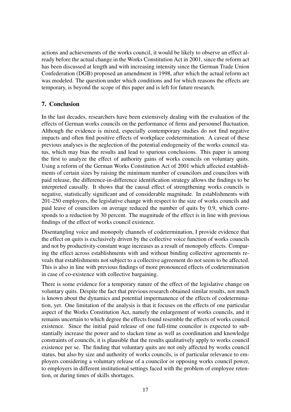actions and achievements of the works council, it would be likely to observe an effect already before the actual change in the Works Constitution Act in 2001, since the reform act has been discussed at length and with increasing intensity since the German Trade Union Confederation (DGB) proposed an amendment in 1998, after which the actual reform act was modeled. The question under which conditions and for which reasons the effects are temporary, is beyond the scope of this paper and is left for future research.

## 7. Conclusion

In the last decades, researchers have been extensively dealing with the evaluation of the effects of German works councils on the performance of firms and personnel fluctuation. Although the evidence is mixed, especially contemporary studies do not find negative impacts and often find positive effects of workplace codetermination. A caveat of these previous analyses is the neglection of the potential endogeneity of the works council status, which may bias the results and lead to spurious conclusions. This paper is among the first to analyze the effect of authority gains of works councils on voluntary quits. Using a reform of the German Works Constitution Act of 2001 which affected establishments of certain sizes by raising the minimum number of councilors and councilors with paid release, the difference-in-difference identification strategy allows the findings to be interpreted causally. It shows that the causal effect of strengthening works councils is negative, statistically significant and of considerable magnitude. In establishments with 201-250 employees, the legislative change with respect to the size of works councils and paid leave of councilors on average reduced the number of quits by 0.9, which corresponds to a reduction by 30 percent. The magnitude of the effect is in line with previous findings of the effect of works council existence.

Disentangling voice and monopoly channels of codetermination, I provide evidence that the effect on quits is exclusively driven by the collective voice function of works councils and not by productivity-constant wage increases as a result of monopoly effects. Comparing the effect across establishments with and without binding collective agreements reveals that establishments not subject to a collective agreement do not seem to be affected. This is also in line with previous findings of more pronounced effects of codetermination in case of co-existence with collective bargaining.

There is some evidence for a temporary nature of the effect of the legislative change on voluntary quits. Despite the fact that previous research obtained similar results, not much is known about the dynamics and potential impermanence of the effects of codetermination, yet. One limitation of the analysis is that it focuses on the effects of one particular aspect of the Works Constitution Act, namely the enlargement of works councils, and it remains uncertain to which degree the effects found resemble the effects of works council existence. Since the initial paid release of one full-time councilor is expected to substantially increase the power and to slacken time as well as coordination and knowledge constraints of councils, it is plausible that the results qualitatively apply to works council existence per se. The finding that voluntary quits are not only affected by works council status, but also by size and authority of works councils, is of particular relevance to employers considering a voluntary release of a councilor or opposing works council power, to employers in different institutional settings faced with the problem of employee retention, or during times of skills shortages.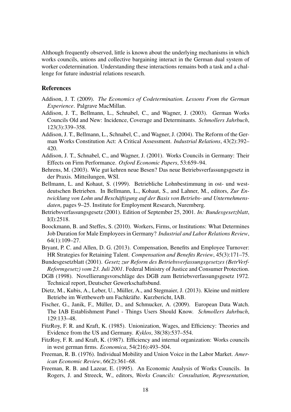Although frequently observed, little is known about the underlying mechanisms in which works councils, unions and collective bargaining interact in the German dual system of worker codetermination. Understanding these interactions remains both a task and a challenge for future industrial relations research.

## References

- Addison, J. T. (2009). *The Economics of Codetermination. Lessons From the German Experience*. Palgrave MacMillan.
- Addison, J. T., Bellmann, L., Schnabel, C., and Wagner, J. (2003). German Works Councils Old and New: Incidence, Coverage and Determinants. *Schmollers Jahrbuch*, 123(3):339–358.
- Addison, J. T., Bellmann, L., Schnabel, C., and Wagner, J. (2004). The Reform of the German Works Constitution Act: A Critical Assessment. *Industrial Relations*, 43(2):392– 420.
- Addison, J. T., Schnabel, C., and Wagner, J. (2001). Works Councils in Germany: Their Effects on Firm Performance. *Oxford Economic Papers*, 53:659–94.
- Behrens, M. (2003). Wie gut kehren neue Besen? Das neue Betriebsverfassungsgesetz in der Praxis. Mitteilungen, WSI.
- Bellmann, L. and Kohaut, S. (1999). Betriebliche Lohnbestimmung in ost- und westdeutschen Betrieben. In Bellmann, L., Kohaut, S., and Lahner, M., editors, *Zur Entwicklung von Lohn und Beschaftigung auf der Basis von Betriebs- und Unternehmens- ¨ daten*, pages 9–25. Institute for Employment Research, Nuremberg.
- Betriebsverfassungsgesetz (2001). Edition of September 25, 2001. *In: Bundesgesetzblatt*, I(I):2518.
- Boockmann, B. and Steffes, S. (2010). Workers, Firms, or Institutions: What Determines Job Duration for Male Employees in Germany? *Industrial and Labor Relations Review*, 64(1):109–27.
- Bryant, P. C. and Allen, D. G. (2013). Compensation, Benefits and Employee Turnover: HR Strategies for Retaining Talent. *Compensation and Benefits Review*, 45(3):171–75.
- Bundesgesetzblatt (2001). *Gesetz zur Reform des Betriebsverfassungsgesetzes (BetrVerf-Reformgesetz) vom 23. Juli 2001*. Federal Ministry of Justice and Consumer Protection.
- DGB (1998). Novellierungsvorschläge des DGB zum Betriebsverfassungsgesetz 1972. Technical report, Deutscher Gewerkschaftsbund.
- Dietz, M., Kubis, A., Leber, U., Müller, A., and Stegmaier, J. (2013). Kleine und mittlere Betriebe im Wettbewerb um Fachkräfte. Kurzbericht, IAB.
- Fischer, G., Janik, F., Müller, D., and Schmucker, A. (2009). European Data Watch. The IAB Establishment Panel - Things Users Should Know. *Schmollers Jahrbuch*, 129:133–48.
- FitzRoy, F. R. and Kraft, K. (1985). Unionization, Wages, and Efficiency: Theories and Evidence from the US and Germany. *Kyklos*, 38(38):537–554.
- FitzRoy, F. R. and Kraft, K. (1987). Efficiency and internal organization: Works councils in west german firms. *Economica*, 54(216):493–504.
- Freeman, R. B. (1976). Individual Mobility and Union Voice in the Labor Market. *American Economic Review*, 66(2):361–68.
- Freeman, R. B. and Lazear, E. (1995). An Economic Analysis of Works Councils. In Rogers, J. and Streeck, W., editors, *Works Councils: Consultation, Representation,*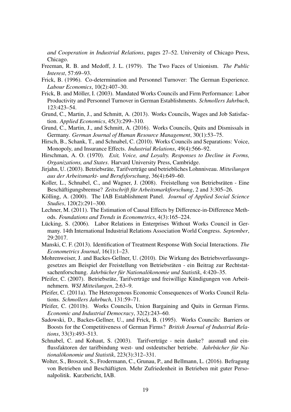*and Cooperation in Industrial Relations*, pages 27–52. University of Chicago Press, Chicago.

- Freeman, R. B. and Medoff, J. L. (1979). The Two Faces of Unionism. *The Public Interest*, 57:69–93.
- Frick, B. (1996). Co-determination and Personnel Turnover: The German Experience. *Labour Economics*, 10(2):407–30.
- Frick, B. and Möller, I. (2003). Mandated Works Councils and Firm Performance: Labor Productivity and Personnel Turnover in German Establishments. *Schmollers Jahrbuch*, 123:423–54.
- Grund, C., Martin, J., and Schmitt, A. (2013). Works Councils, Wages and Job Satisfaction. *Applied Economics*, 45(3):299–310.
- Grund, C., Martin, J., and Schmitt, A. (2016). Works Councils, Quits and Dismissals in Germany. *German Journal of Human Resource Management*, 30(1):53–75.
- Hirsch, B., Schank, T., and Schnabel, C. (2010). Works Councils and Separations: Voice, Monopoly, and Insurance Effects. *Industrial Relations*, 49(4):566–92.
- Hirschman, A. O. (1970). *Exit, Voice, and Loyalty. Responses to Decline in Forms, Organizations, and States*. Harvard University Press, Cambridge.
- Jirjahn, U. (2003). Betriebsräte, Tarifverträge und betriebliches Lohnniveau. Mitteilungen *aus der Arbeitsmarkt- und Berufsforschung*, 36(4):649–60.
- Koller, L., Schnabel, C., and Wagner, J. (2008). Freistellung von Betriebsräten Eine Beschäftigungsbremse? Zeitschrift für Arbeitsmarktforschung, 2 and 3:305–26.
- Kölling, A. (2000). The IAB Establishment Panel. *Journal of Applied Social Science Studies*, 120(2):291–300.
- Lechner, M. (2011). The Estimation of Causal Effects by Difference-in-Difference Methods. *Foundations and Trends in Econometrics*, 4(3):165–224.
- Lücking, S. (2006). Labor Relations in Enterprises Without Works Council in Germany. 14th International Industrial Relations Association World Congress. *September*, 29:2017.
- Manski, C. F. (2013). Identification of Treatment Response With Social Interactions. *The Econometrics Journal*, 16(1):1–23.
- Mohrenweiser, J. and Backes-Gellner, U. (2010). Die Wirkung des Betriebsverfassungsgesetzes am Beispiel der Freistellung von Betriebsräten - ein Beitrag zur Rechtstatsachenforschung. *Jahrbucher f ¨ ur National ¨ okonomie und Statistik ¨* , 4:420–35.
- Pfeifer, C. (2007). Betriebsräte, Tarifverträge und freiwillige Kündigungen von Arbeitnehmern. *WSI Mitteilungen*, 2:63–9.
- Pfeifer, C. (2011a). The Heterogenous Economic Consequences of Works Council Relations. *Schmollers Jahrbuch*, 131:59–71.
- Pfeifer, C. (2011b). Works Councils, Union Bargaining and Quits in German Firms. *Economic and Industrial Democracy*, 32(2):243–60.
- Sadowski, D., Backes-Gellner, U., and Frick, B. (1995). Works Councils: Barriers or Boosts for the Competitiveness of German Firms? *British Journal of Industrial Relations*, 33(3):493–513.
- Schnabel, C. and Kohaut, S. (2003). Tarifverträge nein danke? ausmaß und einflussfaktoren der tarifbindung west- und ostdeutscher betriebe. *Jahrbücher für Nationalökonomie und Statistik*, 223(3):312–331.
- Wolter, S., Broszeit, S., Frodermann, C., Grunau, P., and Bellmann, L. (2016). Befragung von Betrieben und Beschäftigten. Mehr Zufriedenheit in Betrieben mit guter Personalpolitik. Kurzbericht, IAB.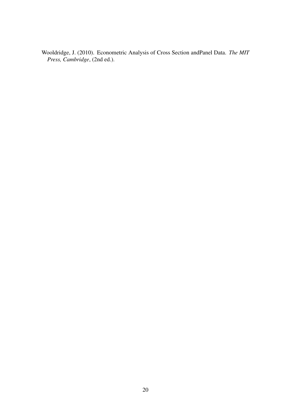Wooldridge, J. (2010). Econometric Analysis of Cross Section andPanel Data. *The MIT Press, Cambridge*, (2nd ed.).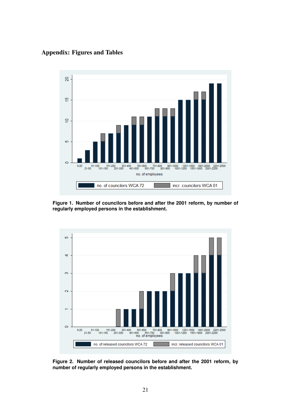## Appendix: Figures and Tables



**Figure 1. Number of councilors before and after the 2001 reform, by number of regularly employed persons in the establishment.**



**Figure 2. Number of released councilors before and after the 2001 reform, by number of regularly employed persons in the establishment.**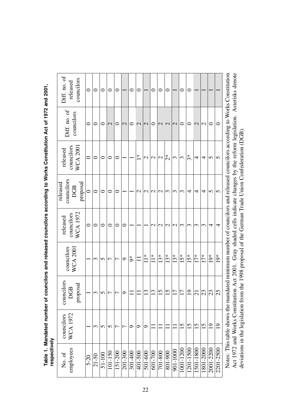| Inninecine          |                               |                               |                               |                                           |                                                  |                                           |                            |                                        |
|---------------------|-------------------------------|-------------------------------|-------------------------------|-------------------------------------------|--------------------------------------------------|-------------------------------------------|----------------------------|----------------------------------------|
| employees<br>No. of | <b>WCA 1972</b><br>councilors | councilors<br>proposal<br>DGB | councilors<br><b>WCA 2001</b> | <b>WCA 1972</b><br>councilors<br>released | councilors<br>released<br>proposal<br><b>DGB</b> | <b>WCA 2001</b><br>councilors<br>released | Diff. no. of<br>councilors | Diff. no. of<br>councilors<br>released |
| $5 - 20$            |                               |                               |                               | $\circ$                                   | $\circ$                                          | $\circ$                                   | $\circ$                    | $\circ$                                |
| $21 - 50$           | 3                             | 3                             | $\mathfrak{c}$                |                                           | $\circ$                                          |                                           |                            |                                        |
| 51-100              | ∽                             | 5                             | 5                             |                                           | 0                                                | 0                                         | 0                          |                                        |
| 101-150             | ∽                             |                               | Γ                             | 0                                         | $\circ$                                          | 0                                         | $\mathbf{C}$               | 0                                      |
| 151-200             | ᠵ                             | 7                             | 7                             | 0                                         | $\circ$                                          | $\circ$                                   | 0                          | 0                                      |
| 201-300             | ᡕ                             | $\circ$                       | $\sigma$                      | 0                                         |                                                  |                                           | $\overline{\mathcal{C}}$   |                                        |
| 301-400             | o                             | $\overline{1}$                | $\zeta^*$                     |                                           |                                                  |                                           | 0                          | $\circ$                                |
| 401-500             | ం                             | $\overline{11}$               | $\Box$                        |                                           | $\mathcal{L}$                                    | $\stackrel{*}{\leftarrow}$                | $\mathcal{C}$              | 0                                      |
| 501-600             | ๑                             | 13                            | $\prod_{i=1}^{n}$             |                                           | $\mathcal{L}$                                    | $\mathcal{L}$                             | $\mathbf{C}$               |                                        |
| 601-700             |                               | 13                            | $\prod_{i=1}^{n}$             | $\mathbf 2$                               | $\mathbf{C}$                                     | $\mathbf{C}$                              | 0                          | 0                                      |
| 701-800             |                               | 15                            | $13*$                         | $\mathbf{C}$                              | $\mathcal{L}$                                    | $\mathbf{C}$                              | $\mathcal{L}$              | 0                                      |
| 801-900             |                               | 15                            | $13*$                         | $\mathcal{C}$                             | 3                                                | $\stackrel{*}{\scriptstyle \sim}$         | $\mathbf{\Omega}$          | 0                                      |
| 901-1000            |                               | 17                            | $13*$                         | $\mathcal{C}$                             | 3                                                | 3                                         | $\mathbf{C}$               |                                        |
| 1001-1200           | $\overline{15}$               | 17                            | $15*$                         | $\sim$                                    | $\mathfrak{c}$                                   | $ \omega$                                 | 0                          | 0                                      |
| 1201-1500           | 15                            | $\overline{1}$                | $15*$                         | $\epsilon$                                | 4                                                | $\mathfrak F^*$                           | 0                          | 0                                      |
| 1501-1800           | 15                            | 21                            | $17*$                         | $\epsilon$                                | 4                                                | 4                                         | $\overline{\mathcal{C}}$   |                                        |
| 1801-2000           | 15                            | $\overline{23}$               | $17*$                         | $\mathfrak{c}$                            | 4                                                | 4                                         | $\mathbf 2$                |                                        |
| 2001-2200           | $\overline{0}$                | 23                            | $19*$                         | 4                                         | 5                                                | 5                                         | 0                          |                                        |
| 2201-2500           | $\overline{0}$                | 25                            | $19*$                         | 4                                         | 5                                                | 5                                         | 0                          |                                        |

Table 1. Mandated number of councilors and released councilors according to Works Constitution Act of 1972 and 2001, Table 1. Mandated number of councilors and released councilors according to Works Constitution Act of 1972 and 2001,<br>respectively

Act 1972 and Works Constitution Act 2001. Gray shaded cells indicate changes by the reform legislation. Asterisks denote Notes: This table shows the mandated minimum number of councilors and released councilors according to Works Constitution Notes: This table shows the mandated minimum number of councilors and released councilors according to Works Constitution Act 1972 and Works Constitution Act 2001. Gray shaded cells indicate changes by the reform legislation. Asterisks denote deviations in the legislation from the 1998 proposal of the German Trade Union Confederation (DGB). deviations in the legislation from the 1998 proposal of the German Trade Union Confederation (DGB).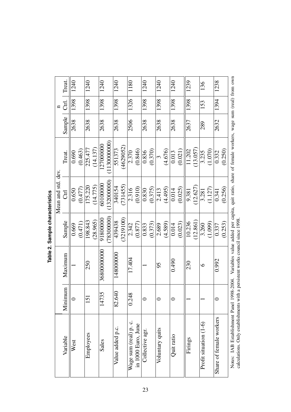|                                                                              |                          |             |           | Mean and std. dev.   |                                                                                                 |        |       |        |
|------------------------------------------------------------------------------|--------------------------|-------------|-----------|----------------------|-------------------------------------------------------------------------------------------------|--------|-------|--------|
| Variable                                                                     | Minimum                  | Maximum     | Sample    | $\operatorname*{CH}$ | Treat.                                                                                          | Sample | Ctrl. | Treat. |
| West                                                                         |                          |             | 0.669     | 0.650                | 0.690                                                                                           | 2638   | 1398  | 1240   |
|                                                                              |                          |             | (0.471)   | (0.477)              | (0.463)                                                                                         |        |       |        |
| Employees                                                                    | 151                      | 250         | 198.843   | 175.220              | 225.477                                                                                         | 2638   | 1398  | 1240   |
|                                                                              |                          |             | (28.965)  | (14.775)             | (14.137)                                                                                        |        |       |        |
| Sales                                                                        | $\tilde{\Omega}$<br>1473 | 36800000000 | 91800000  | 60100000             | 127000000                                                                                       | 2638   | 1398  | 1240   |
|                                                                              |                          |             | 78300000) | 132000000)           | 1130000000                                                                                      |        |       |        |
| Value added p.c.                                                             | 82.640                   | 148000000   | 439438    | 340154               | 551373                                                                                          | 2638   | 1398  | 1240   |
|                                                                              |                          |             | (3219100) | (731455)             | (4629052)                                                                                       |        |       |        |
| Wage sum (real) p. c.                                                        | 0.248                    | 17.404      | 2.342     | 2.316                | 2.370                                                                                           | 2506   | 1326  | 1180   |
| in 1000 Euro, June                                                           |                          |             | (0.877)   | (0.910)              | (0.846)                                                                                         |        |       |        |
| Collective agr.                                                              | ⊂                        |             | 0.833     | 0.830                | 0.836                                                                                           | 2638   | 1398  | 1240   |
|                                                                              |                          |             | (0.373)   | (0.375)              | (0.370)                                                                                         |        |       |        |
| Voluntary quits                                                              | っ                        | 95          | 2.689     | 2.413                | $\tilde{\xi}$                                                                                   | 2638   | 1398  | 1240   |
|                                                                              |                          |             | (4.589)   | (4.495)              | (4.676)                                                                                         |        |       |        |
| Quit ratio                                                                   | 0                        | 0.490       | 0.014     | 0.014                | 0.013                                                                                           | 2638   | 1398  | 1240   |
|                                                                              |                          |             | (0.023)   | (0.025)              | (0.021)                                                                                         |        |       |        |
| Firings                                                                      |                          | 230         | 10.236    | 9.381                | 11.202                                                                                          | 2637   | 1398  | 1239   |
|                                                                              |                          |             | 12.861)   | (12.627)             | (13.057)                                                                                        |        |       |        |
| Profit situation (1-6)                                                       |                          | $\circ$     | 3.260     | 3.281                | 3.235                                                                                           | 289    | 153   | 136    |
|                                                                              |                          |             | (1.099)   | (1.127)              | (1.070)                                                                                         |        |       |        |
| Share of female workers                                                      | 0                        | 0.992       | 0.337     | 0.341                | 0.332                                                                                           | 2632   | 1394  | 1238   |
|                                                                              |                          |             | (0.253)   | (0.256)              | 0.250                                                                                           |        |       |        |
| Notes: IAB Establishment Panel 1998-2004.                                    |                          |             |           |                      | Variables value added per capita, quit ratio, share of female workers, wage sum (real) from own |        |       |        |
| calculations. Only establishments with a persistent works council since 1998 |                          |             |           |                      |                                                                                                 |        |       |        |

Table 2. Sample characteristics **Table 2. Sample characteristics**

23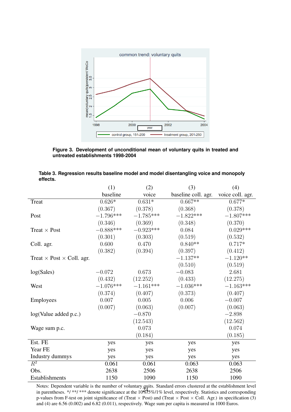

**Figure 3. Development of unconditional mean of voluntary quits in treated and untreated establishments 1998-2004**

|                                         | (1)<br>baseline | (2)<br>voice | (3)<br>baseline coll. agr. voice coll. agr. | (4)         |
|-----------------------------------------|-----------------|--------------|---------------------------------------------|-------------|
| Treat                                   | $0.626*$        | $0.631*$     | $0.667**$                                   | $0.677*$    |
|                                         | (0.367)         | (0.378)      | (0.368)                                     | (0.378)     |
| Post                                    | $-1.796***$     | $-1.785***$  | $-1.822***$                                 | $-1.807***$ |
|                                         | (0.346)         | (0.369)      | (0.348)                                     | (0.370)     |
| Treat $\times$ Post                     | $-0.888***$     | $-0.923***$  | 0.084                                       | $0.029***$  |
|                                         | (0.301)         | (0.303)      | (0.519)                                     | (0.532)     |
| Coll. agr.                              | 0.600           | 0.470        | $0.840**$                                   | $0.717*$    |
|                                         | (0.382)         | (0.394)      | (0.397)                                     | (0.412)     |
| Treat $\times$ Post $\times$ Coll. agr. |                 |              | $-1.137**$                                  | $-1.120**$  |
|                                         |                 |              | (0.510)                                     | (0.519)     |
| log(Sales)                              | $-0.072$        | 0.673        | $-0.083$                                    | 2.681       |
|                                         | (0.432)         | (12.252)     | (0.433)                                     | (12.275)    |
| West                                    | $-1.076***$     | $-1.161***$  | $-1.036***$                                 | $-1.163***$ |
|                                         | (0.374)         | (0.407)      | (0.373)                                     | (0.407)     |
| Employees                               | 0.007           | 0.005        | 0.006                                       | $-0.007$    |
|                                         | (0.007)         | (0.063)      | (0.007)                                     | (0.063)     |
| log(Value added p.c.)                   |                 | $-0.870$     |                                             | $-2.898$    |
|                                         |                 | (12.543)     |                                             | (12.562)    |
| Wage sum p.c.                           |                 | 0.073        |                                             | 0.074       |
|                                         |                 | (0.184)      |                                             | (0.185)     |
| Est. FE                                 | yes             | yes          | yes                                         | yes         |
| Year FE                                 | yes             | yes          | yes                                         | yes         |
| Industry dummys                         | yes             | yes          | yes                                         | yes         |
| $\overline{R^2}$                        | 0.061           | 0.061        | 0.063                                       | 0.063       |
| Obs.                                    | 2638            | 2506         | 2638                                        | 2506        |
| Establishments                          | 1150            | 1090         | 1150                                        | 1090        |

| Table 3. Regression results baseline model and model disentangling voice and monopoly |  |
|---------------------------------------------------------------------------------------|--|
| effects.                                                                              |  |

Notes: Dependent variable is the number of voluntary quits. Standard errors clustered at the establishment level in parentheses. \*/ \*\*/ \*\*\* denote significance at the 10%/5%/1% level, respectively. Statistics and corresponding p-values from F-test on joint significance of (Treat  $\times$  Post) and (Treat  $\times$  Post  $\times$  Coll. Agr.) in specification (3) and (4) are 6.56 (0.002) and 6.82 (0.011), respectively. Wage sum per capita is measured in 1000 Euros.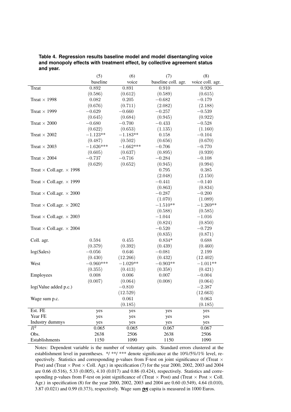|                                        | (5)         | (6)         | (7)                 | (8)              |
|----------------------------------------|-------------|-------------|---------------------|------------------|
|                                        | baseline    | voice       | baseline coll. agr. | voice coll. agr. |
| Treat                                  | 0.892       | 0.891       | 0.910               | 0.926            |
|                                        | (0.586)     | (0.612)     | (0.589)             | (0.615)          |
| Treat $\times$ 1998                    | 0.082       | 0.205       | $-0.682$            | $-0.179$         |
|                                        | (0.676)     | (0.711)     | (2.082)             | (2.188)          |
| Treat $\times$ 1999                    | $-0.629$    | $-0.660$    | $-0.257$            | $-0.539$         |
|                                        | (0.645)     | (0.684)     | (0.945)             | (0.922)          |
| Treat $\times$ 2000                    | $-0.680$    | $-0.700$    | $-0.433$            | $-0.528$         |
|                                        | (0.622)     | (0.653)     | (1.135)             | (1.160)          |
| Treat $\times$ 2002                    | $-1.123**$  | $-1.183**$  | 0.158               | $-0.104$         |
|                                        | (0.487)     | (0.502)     | (0.656)             | (0.670)          |
| Treat $\times$ 2003                    | $-1.626***$ | $-1.662***$ | $-0.706$            | $-0.770$         |
|                                        | (0.605)     | (0.637)     | (0.895)             | (0.939)          |
| Treat $\times$ 2004                    | $-0.737$    | $-0.716$    | $-0.284$            | $-0.108$         |
|                                        | (0.629)     | (0.652)     | (0.945)             | (0.994)          |
| Treat $\times$ Coll.agr. $\times$ 1998 |             |             | $0.795\,$           | 0.385            |
|                                        |             |             | (2.048)             | (2.150)          |
| Treat $\times$ Coll.agr. $\times$ 1999 |             |             | $-0.441$            | $-0.140$         |
|                                        |             |             | (0.863)             | (0.834)          |
| Treat $\times$ Coll.agr. $\times$ 2000 |             |             | $-0.287$            | $-0.200$         |
|                                        |             |             | (1.070)             | (1.089)          |
| Treat $\times$ Coll.agr. $\times$ 2002 |             |             | $-1.510**$          | $-1.269**$       |
|                                        |             |             | (0.588)             | (0.585)          |
| Treat $\times$ Coll.agr. $\times$ 2003 |             |             | $-1.044$            | $-1.016$         |
|                                        |             |             | (0.824)             | (0.850)          |
| Treat $\times$ Coll.agr. $\times$ 2004 |             |             | $-0.520$            | $-0.729$         |
|                                        |             |             | (0.835)             | (0.871)          |
| Coll. agr.                             | $\,0.594\,$ | 0.455       | $0.834\sp{*}$       | 0.688            |
|                                        | (0.379)     | (0.392)     | (0.439)             | (0.460)          |
| log(Sales)                             | $-0.056$    | 0.646       | $-0.081$            | 2.199            |
|                                        | (0.430)     | (12.266)    | (0.432)             | (12.402)         |
| West                                   | $-0.960***$ | $-1.029**$  | $-0.903**$          | $-1.011**$       |
|                                        | (0.355)     | (0.413)     | (0.358)             | (0.421)          |
| Employees                              | 0.008       | 0.006       | $0.007\,$           | $-0.004$         |
|                                        | (0.007)     | (0.064)     | (0.008)             | (0.064)          |
| log(Value added p.c.)                  |             | $-0.810$    |                     | $-2.387$         |
|                                        |             | (12.529)    |                     | (12.663)         |
| Wage sum p.c.                          |             | 0.061       |                     | 0.063            |
|                                        |             | (0.185)     |                     | (0.185)          |
|                                        |             |             |                     |                  |
| Est. FE                                | yes         | yes         | yes                 | yes              |
| Year FE                                | yes         | yes         | yes                 | yes              |
| Industry dummys                        | yes         | yes         | yes                 | yes              |
| $\overline{R^2}$                       | 0.065       | 0.065       | 0.067               | 0.067            |
| Obs.                                   | 2638        | 2506        | 2638                | 2506             |
| Establishments                         | 1150        | 1090        | 1150                | 1090             |

**Table 4. Regression results baseline model and model disentangling voice and monopoly effects with treatment effect, by collective agreement status and year.**

Notes: Dependent variable is the number of voluntary quits. Standard errors clustered at the establishment level in parentheses. \*/ \*\*/ \*\*\* denote significance at the 10%/5%/1% level, respectively. Statistics and corresponding p-values from F-test on joint significance of (Treat  $\times$ Post) and (Treat  $\times$  Post  $\times$  Coll. Agr.) in specification (7) for the year 2000, 2002, 2003 and 2004 are 0.66 (0.516), 5.33 (0.005), 4.10 (0.017) and 0.86 (0.424), respectively. Statistics and corresponding p-values from F-test on joint significance of (Treat  $\times$  Post) and (Treat  $\times$  Post  $\times$  Coll. Agr.) in specification (8) for the year 2000, 2002, 2003 and 2004 are 0.60 (0.549), 4.64 (0.010),  $3.87$  (0.021) and 0.99 (0.373), respectively. Wage sum per capita is measured in 1000 Euros.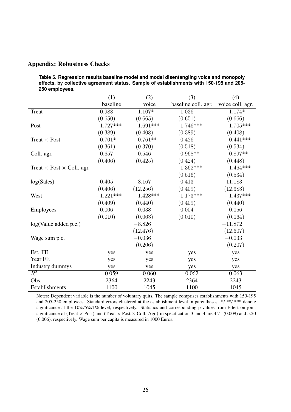## Appendix: Robustness Checks

**Table 5. Regression results baseline model and model disentangling voice and monopoly effects, by collective agreement status. Sample of establishments with 150-195 and 205- 250 employees.**

|                                         | (1)         | (2)         | (3)                 | (4)              |
|-----------------------------------------|-------------|-------------|---------------------|------------------|
|                                         | baseline    | voice       | baseline coll. agr. | voice coll. agr. |
| Treat                                   | 0.988       | $1.107*$    | 1.036               | 1.174*           |
|                                         | (0.650)     | (0.665)     | (0.651)             | (0.666)          |
| Post                                    | $-1.727***$ | $-1.691***$ | $-1.746***$         | $-1.705***$      |
|                                         | (0.389)     | (0.408)     | (0.389)             | (0.408)          |
| Treat $\times$ Post                     | $-0.701*$   | $-0.761**$  | 0.426               | $0.441***$       |
|                                         | (0.361)     | (0.370)     | (0.518)             | (0.534)          |
| Coll. agr.                              | 0.657       | 0.546       | $0.968**$           | $0.897**$        |
|                                         | (0.406)     | (0.425)     | (0.424)             | (0.448)          |
| Treat $\times$ Post $\times$ Coll. agr. |             |             | $-1.362***$         | $-1.464***$      |
|                                         |             |             | (0.516)             | (0.534)          |
| log(Sales)                              | $-0.405$    | 8.167       | 0.413               | 11.183           |
|                                         | (0.406)     | (12.256)    | (0.409)             | (12.383)         |
| West                                    | $-1.221***$ | $-1.428***$ | $-1.173***$         | $-1.437***$      |
|                                         | (0.409)     | (0.440)     | (0.409)             | (0.440)          |
| Employees                               | 0.006       | $-0.038$    | 0.004               | $-0.056$         |
|                                         | (0.010)     | (0.063)     | (0.010)             | (0.064)          |
| log(Value added p.c.)                   |             | $-8.826$    |                     | $-11.872$        |
|                                         |             | (12.476)    |                     | (12.607)         |
| Wage sum p.c.                           |             | $-0.036$    |                     | $-0.033$         |
|                                         |             | (0.206)     |                     | (0.207)          |
| Est. FE                                 | yes         | yes         | yes                 | yes              |
| Year FE                                 | yes         | yes         | yes                 | yes              |
| Industry dummys                         | yes         | yes         | yes                 | yes              |
| $\overline{R^2}$                        | 0.059       | 0.060       | 0.062               | 0.063            |
| Obs.                                    | 2364        | 2243        | 2364                | 2243             |
| Establishments                          | 1100        | 1045        | 1100                | 1045             |

Notes: Dependent variable is the number of voluntary quits. The sample comprises establishments with 150-195 and 205-250 employees. Standard errors clustered at the establishment level in parentheses. \*/ \*\*/ \*\*\* denote significance at the 10%/5%/1% level, respectively. Statistics and corresponding p-values from F-test on joint significance of (Treat  $\times$  Post) and (Treat  $\times$  Post  $\times$  Coll. Agr.) in specification 3 and 4 are 4.71 (0.009) and 5.20 (0.006), respectively. Wage sum per capita is measured in 1000 Euros.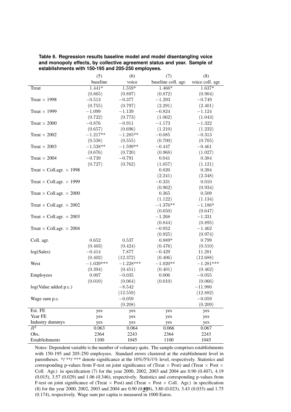|                                        | (5)         | (6)         | (7)                 | (8)              |
|----------------------------------------|-------------|-------------|---------------------|------------------|
|                                        | baseline    | voice       | baseline coll. agr. | voice coll. agr. |
| Treat                                  | $1.441*$    | $1.559*$    | 1.466*              | $1.637*$         |
|                                        | (0.865)     | (0.897)     | (0.872)             | (0.904)          |
| Treat $\times$ 1998                    | $-0.513$    | $-0.377$    | $-1.293$            | $-0.749$         |
|                                        | (0.755)     | (0.797)     | (2.291)             | (2.401)          |
| Treat $\times$ 1999                    | $-1.099$    | $-1.139$    | $-0.824$            | $-1.124$         |
|                                        | (0.722)     | (0.773)     | (1.062)             | (1.043)          |
| Treat $\times$ 2000                    | $-0.876$    | $-0.911$    | $-1.173$            | $-1.322$         |
|                                        | (0.657)     | (0.696)     | (1.210)             | (1.232)          |
| Treat $\times$ 2002                    | $-1.217**$  | $-1.285**$  | $-0.085$            | $-0.313$         |
|                                        | (0.538)     | (0.555)     | (0.700)             | (0.705)          |
| Treat $\times$ 2003                    | $-1.538**$  | $-1.599**$  | $-0.447$            | $-0.461$         |
|                                        | (0.676)     | (0.720)     | (0.968)             | (1.027)          |
| Treat $\times$ 2004                    | $-0.739$    | $-0.791$    | 0.041               | $0.384\,$        |
|                                        | (0.727)     | (0.762)     | (1.057)             | (1.121)          |
| Treat $\times$ Coll.agr. $\times$ 1998 |             |             | 0.820               | 0.394            |
|                                        |             |             | (2.241)             | (2.348)          |
| Treat $\times$ Coll.agr. $\times$ 1999 |             |             | $-0.331$            | $0.010\,$        |
|                                        |             |             | (0.962)             | (0.934)          |
| Treat $\times$ Coll.agr. $\times$ 2000 |             |             | $\,0.365\,$         | $0.509\,$        |
|                                        |             |             | (1.122)             | (1.134)          |
| Treat $\times$ Coll.agr. $\times$ 2002 |             |             | $-1.376**$          | $-1.186*$        |
|                                        |             |             | (0.650)             | (0.647)          |
| Treat $\times$ Coll.agr. $\times$ 2003 |             |             | $-1.268$            | $-1.331$         |
|                                        |             |             | (0.844)             | (0.895)          |
| Treat $\times$ Coll.agr. $\times$ 2004 |             |             | $-0.952$            | $-1.462$         |
|                                        |             |             | (0.925)             | (0.974)          |
| Coll. agr.                             | 0.652       | $0.537\,$   | $0.889*$            | 0.799            |
|                                        | (0.403)     | (0.424)     | (0.476)             | (0.510)          |
| log(Sales)                             | $-0.414$    | 7.877       | $-0.429$            | 11.281           |
|                                        | (0.402)     | (12.372)    | (0.406)             | (12.688)         |
| West                                   | $-1.039***$ | $-1.228***$ | $-1.020**$          | $-1.281***$      |
|                                        | (0.394)     | (0.451)     | (0.401)             | (0.462)          |
| Employees                              | $0.007\,$   | $-0.035$    | $0.006\,$           | $-0.055$         |
|                                        | (0.010)     | (0.064)     | (0.010)             | (0.066)          |
| log(Value added p.c.)                  |             | $-8.542$    |                     | $-11.980$        |
|                                        |             | (12.559)    |                     | (12.882)         |
| Wage sum p.c.                          |             | $-0.059$    |                     | $-0.059$         |
|                                        |             | (0.208)     |                     | (0.209)          |
| Est. FE                                | yes         | yes         | yes                 | yes              |
| Year FE                                | yes         | yes         | yes                 | yes              |
| Industry dummys                        | yes         | yes         | yes                 | yes              |
| $\overline{R^2}$                       | 0.063       | 0.064       | 0.066               | 0.067            |
| Obs.                                   | 2364        | 2243        | 2364                | 2243             |
| Establishments                         | 1100        | 1045        | 1100                | 1045             |
|                                        |             |             |                     |                  |

**Table 6. Regression results baseline model and model disentangling voice and monopoly effects, by collective agreement status and year. Sample of establishments with 150-195 and 205-250 employees.**

Notes: Dependent variable is the number of voluntary quits. The sample comprises establishments with 150-195 and 205-250 employees. Standard errors clustered at the establishment level in parentheses. \*/ \*\*/ \*\*\* denote significance at the 10%/5%/1% level, respectively. Statistics and corresponding p-values from F-test on joint significance of (Treat  $\times$  Post) and (Treat  $\times$  Post  $\times$ Coll. Agr.) in specification (7) for the year 2000, 2002, 2003 and 2004 are 0.90 (0.407), 4.19 (0.015), 3.57 (0.029) and 1.06 (0.346), respectively. Statistics and corresponding p-values from F-test on joint significance of (Treat  $\times$  Post) and (Treat  $\times$  Post  $\times$  Coll. Agr.) in specification (8) for the year 2000, 2002, 2003 and 2004 are 0.90 (0.408), 3.80 (0.023), 3.43 (0.033) and 1.75  $(0.174)$ , respectively. Wage sum per capita is measured in 1000 Euros.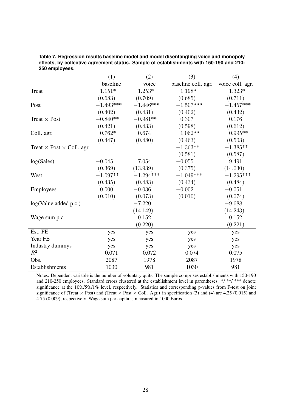|                                         | (1)         | (2)         | (3)                 | (4)              |
|-----------------------------------------|-------------|-------------|---------------------|------------------|
|                                         | baseline    | voice       | baseline coll. agr. | voice coll. agr. |
| Treat                                   | $1.151*$    | $1.253*$    | $1.198*$            | $1.323*$         |
|                                         | (0.683)     | (0.709)     | (0.685)             | (0.711)          |
| Post                                    | $-1.493***$ | $-1.446***$ | $-1.507***$         | $-1.457***$      |
|                                         | (0.402)     | (0.431)     | (0.402)             | (0.432)          |
| Treat $\times$ Post                     | $-0.840**$  | $-0.981**$  | 0.307               | 0.176            |
|                                         | (0.421)     | (0.433)     | (0.598)             | (0.612)          |
| Coll. agr.                              | $0.762*$    | 0.674       | $1.062**$           | $0.995**$        |
|                                         | (0.447)     | (0.480)     | (0.463)             | (0.503)          |
| Treat $\times$ Post $\times$ Coll. agr. |             |             | $-1.363**$          | $-1.385**$       |
|                                         |             |             | (0.581)             | (0.587)          |
| log(Sales)                              | $-0.045$    | 7.054       | $-0.055$            | 9.491            |
|                                         | (0.369)     | (13.939)    | (0.375)             | (14.030)         |
| West                                    | $-1.097**$  | $-1.294***$ | $-1.049***$         | $-1.295***$      |
|                                         | (0.435)     | (0.483)     | (0.434)             | (0.484)          |
| Employees                               | 0.000       | $-0.036$    | $-0.002$            | $-0.051$         |
|                                         | (0.010)     | (0.073)     | (0.010)             | (0.074)          |
| log(Value added p.c.)                   |             | $-7.220$    |                     | $-9.688$         |
|                                         |             | (14.149)    |                     | (14.243)         |
| Wage sum p.c.                           |             | 0.152       |                     | 0.152            |
|                                         |             | (0.220)     |                     | (0.221)          |
| Est. FE                                 | yes         | yes         | yes                 | yes              |
| Year FE                                 | yes         | yes         | yes                 | yes              |
| Industry dummys                         | yes         | yes         | yes                 | yes              |
| $\overline{R^2}$                        | 0.071       | 0.072       | 0.074               | 0.075            |
| Obs.                                    | 2087        | 1978        | 2087                | 1978             |
| Establishments                          | 1030        | 981         | 1030                | 981              |

**Table 7. Regression results baseline model and model disentangling voice and monopoly effects, by collective agreement status. Sample of establishments with 150-190 and 210- 250 employees.**

Notes: Dependent variable is the number of voluntary quits. The sample comprises establishments with 150-190 and 210-250 employees. Standard errors clustered at the establishment level in parentheses. \*/ \*\*/ \*\*\* denote significance at the 10%/5%/1% level, respectively. Statistics and corresponding p-values from F-test on joint significance of (Treat  $\times$  Post) and (Treat  $\times$  Post  $\times$  Coll. Agr.) in specification (3) and (4) are 4.25 (0.015) and 4.75 (0.009), respectively. Wage sum per capita is measured in 1000 Euros.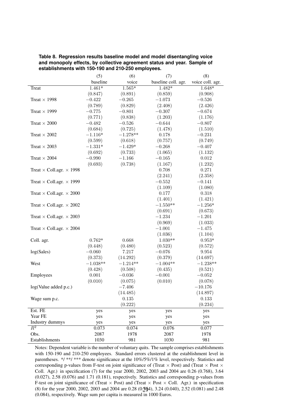|                                        | (5)        | (6)        | (7)                 | (8)              |
|----------------------------------------|------------|------------|---------------------|------------------|
|                                        | baseline   | voice      | baseline coll. agr. | voice coll. agr. |
| Treat                                  | $1.461*$   | $1.565*$   | $1.482*$            | 1.648*           |
|                                        | (0.847)    | (0.891)    | (0.859)             | (0.908)          |
| Treat $\times$ 1998                    | $-0.422$   | $-0.265$   | $-1.073$            | $-0.526$         |
|                                        | (0.789)    | (0.829)    | (2.408)             | (2.426)          |
| Treat $\times$ 1999                    | $-0.775$   | $-0.801$   | $-0.307$            | $-0.674$         |
|                                        | (0.771)    | (0.838)    | (1.203)             | (1.176)          |
| Treat $\times$ 2000                    | $-0.482$   | $-0.526$   | $-0.644$            | $-0.807$         |
|                                        | (0.684)    | (0.725)    | (1.478)             | (1.510)          |
| Treat $\times$ 2002                    | $-1.116*$  | $-1.278**$ | 0.178               | $-0.231$         |
|                                        | (0.599)    | (0.618)    | (0.757)             | (0.749)          |
| Treat $\times$ 2003                    | $-1.331*$  | $-1.429*$  | $-0.268$            | $-0.407$         |
|                                        | (0.692)    | (0.733)    | (1.065)             | (1.132)          |
| Treat $\times$ 2004                    | $-0.990$   | $-1.166$   | $-0.165$            | $0.012\,$        |
|                                        | (0.693)    | (0.738)    | (1.167)             | (1.232)          |
| Treat $\times$ Coll.agr. $\times$ 1998 |            |            | 0.708               | 0.271            |
|                                        |            |            | (2.241)             | (2.358)          |
| Treat $\times$ Coll.agr. $\times$ 1999 |            |            | $-0.552$            | $-0.141$         |
|                                        |            |            | (1.109)             | (1.080)          |
| Treat $\times$ Coll.agr. $\times$ 2000 |            |            | 0.177               | $0.318\,$        |
|                                        |            |            | (1.401)             | (1.421)          |
| Treat $\times$ Coll.agr. $\times$ 2002 |            |            | $-1.550**$          | $-1.256*$        |
|                                        |            |            | (0.691)             | (0.673)          |
| Treat $\times$ Coll.agr. $\times$ 2003 |            |            | $-1.234$            | $-1.201$         |
|                                        |            |            | (0.969)             | (1.033)          |
| Treat $\times$ Coll.agr. $\times$ 2004 |            |            | $-1.001$            | $-1.475$         |
|                                        |            |            | (1.036)             | (1.104)          |
| Coll. agr.                             | $0.762*$   | 0.668      | $1.030**$           | $0.953*$         |
|                                        | (0.448)    | (0.480)    | (0.523)             | (0.572)          |
| log(Sales)                             | $-0.060$   | 7.217      | $-0.076$            | 9.954            |
|                                        | (0.373)    | (14.292)   | (0.379)             | (14.697)         |
| West                                   | $-1.038**$ | $-1.214**$ | $-1.004**$          | $-1.238**$       |
|                                        | (0.428)    | (0.508)    | (0.435)             | (0.521)          |
| Employees                              | $0.001\,$  | $-0.036$   | $-0.001$            | $-0.052$         |
|                                        | (0.010)    | (0.075)    | (0.010)             | (0.078)          |
| log(Value added p.c.)                  |            | $-7.406$   |                     | $-10.176$        |
|                                        |            | (14.485)   |                     | (14.897)         |
| Wage sum p.c.                          |            | $0.135\,$  |                     | 0.133            |
|                                        |            | (0.222)    |                     | (0.234)          |
| Est. FE                                |            |            | yes                 |                  |
| Year FE                                | yes<br>yes | yes<br>yes | yes                 | yes<br>yes       |
| Industry dummys                        | yes        | yes        | yes                 | yes              |
| $\,R^2$                                | 0.073      | 0.074      | 0.076               | 0.077            |
| Obs.                                   | 2087       | 1978       | 2087                | 1978             |
| Establishments                         |            | 981        |                     | 981              |
|                                        | 1030       |            | 1030                |                  |

**Table 8. Regression results baseline model and model disentangling voice and monopoly effects, by collective agreement status and year. Sample of establishments with 150-190 and 210-250 employees.**

Notes: Dependent variable is the number of voluntary quits. The sample comprises establishments with 150-190 and 210-250 employees. Standard errors clustered at the establishment level in parentheses. \*/ \*\*/ \*\*\* denote significance at the 10%/5%/1% level, respectively. Statistics and corresponding p-values from F-test on joint significance of (Treat  $\times$  Post) and (Treat  $\times$  Post  $\times$ Coll. Agr.) in specification (7) for the year 2000, 2002, 2003 and 2004 are 0.26 (0.768), 3.64 (0.027), 2.58 (0.076) and 1.71 (0.181), respectively. Statistics and corresponding p-values from F-test on joint significance of (Treat  $\times$  Post) and (Treat  $\times$  Post  $\times$  Coll. Agr.) in specification (8) for the year 2000, 2002, 2003 and 2004 are 0.28 (0.764), 3.24 (0.040), 2.52 (0.081) and 2.48 (0.084), respectively. Wage sum per capita is measured in 1000 Euros.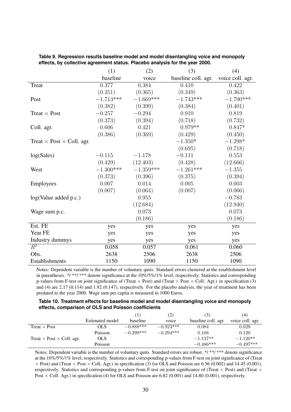|                                         | (1)         | (2)         | (3)                 | (4)              |
|-----------------------------------------|-------------|-------------|---------------------|------------------|
|                                         | baseline    | voice       | baseline coll. agr. | voice coll. agr. |
| Treat                                   | 0.377       | 0.384       | 0.410               | 0.422            |
|                                         | (0.351)     | (0.365)     | (0.349)             | (0.363)          |
| Post                                    | $-1.713***$ | $-1.669***$ | $-1.743***$         | $-1.700***$      |
|                                         | (0.382)     | (0.399)     | (0.384)             | (0.401)          |
| Treat $\times$ Post                     | $-0.257$    | $-0.294$    | 0.910               | 0.819            |
|                                         | (0.373)     | (0.394)     | (0.718)             | (0.732)          |
| Coll. agr.                              | 0.606       | 0.421       | $0.979**$           | $0.847*$         |
|                                         | (0.386)     | (0.369)     | (0.429)             | (0.450)          |
| Treat $\times$ Post $\times$ Coll. agr. |             |             | $-1.350*$           | $-1.298*$        |
|                                         |             |             | (0.695)             | (0.718)          |
| log(Sales)                              | $-0.115$    | $-1.178$    | $-0.111$            | 0.553            |
|                                         | (0.429)     | (12.403)    | (0.428)             | (12.666)         |
| West                                    | $-1.300***$ | $-1.359***$ | $-1.261***$         | $-1.355$         |
|                                         | (0.373)     | (0.396)     | (0.375)             | (0.394)          |
| Employees                               | 0.007       | 0.014       | 0.005               | 0.003            |
|                                         | (0.007)     | (0.064)     | (0.007)             | (0.066)          |
| log(Value added p.c.)                   |             | 0.955       |                     | $-0.783$         |
|                                         |             | (12.684)    |                     | (12.940)         |
| Wage sum p.c.                           |             | 0.073       |                     | 0.073            |
|                                         |             | (0.186)     |                     | (0.186)          |
| Est. FE                                 | yes         | yes         | yes                 | yes              |
| Year FE                                 | yes         | yes         | yes                 | yes              |
| Industry dummys                         | yes         | yes         | yes                 | yes              |
| $\overline{R^2}$                        | 0.058       | 0.057       | 0.061               | 0.060            |
| Obs.                                    | 2638        | 2506        | 2638                | 2506             |
| Establishments                          | 1150        | 1090        | 1150                | 1090             |

| Table 9. Regression results baseline model and model disentangling voice and monopoly |  |  |  |
|---------------------------------------------------------------------------------------|--|--|--|
| effects, by collective agreement status. Placebo analysis for the year 2000.          |  |  |  |

Notes: Dependent variable is the number of voluntary quits. Standard errors clustered at the establishment level in parentheses. \*/ \*\*/ \*\*\* denote significance at the 10%/5%/1% level, respectively. Statistics and corresponding p-values from F-test on joint significance of (Treat  $\times$  Post) and (Treat  $\times$  Post  $\times$  Coll. Agr.) in specification (3) and (4) are 2.17 (0.114) and 1.92 (0.147), respectively. For the placebo analysis, the year of treatment has been predated to the year 2000. Wage sum per capita is measured in 1000 Euros.

#### **Table 10. Treatment effects for baseline model and model disentangling voice and monopoly effects, comparison of OLS and Poisson coefficients**

|                                         |                 |             | (2)         | [3]                 | (4)              |
|-----------------------------------------|-----------------|-------------|-------------|---------------------|------------------|
|                                         | Estimated model | baseline    | voice       | baseline coll. agr. | voice coll. agr. |
| Treat $\times$ Post                     | OLS             | $-0.888***$ | $-0.923***$ | 0.084               | 0.029            |
|                                         | Poisson         | $-0.299***$ | $-0.294***$ | 0.108               | 0.120            |
| Treat $\times$ Post $\times$ Coll. agr. | OLS             |             |             | $-1.137**$          | $-1.120**$       |
|                                         | Poisson         |             |             | $-0.486***$         | $-0.497***$      |

Notes: Dependent variable is the number of voluntary quits. Standard errors are robust. \*/\*\*/\*\*\* denote significance at the 10%/5%/1% level, respectively. Statistics and corresponding p-values from F-test on joint significance of (Treat  $\times$  Post) and (Treat  $\times$  Post  $\times$  Coll. Agr.) in specification (3) for OLS and Poisson are 6.56 (0.002) and 14.45 (0.001), respectively. Statistics and corresponding p-values from F-test on joint significance of (Treat  $\times$  Post) and (Treat  $\times$ Post  $\times$  Coll. Agr.) in specification (4) for OLS and Poisson are 6.82 (0.001) and 14.80 (0.001), respectively.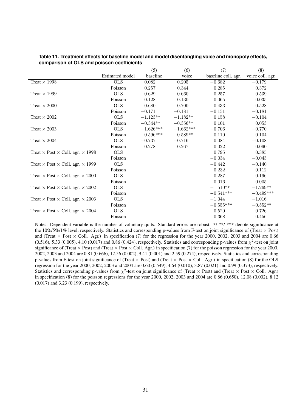|                                                       |                        | (5)         | (6)         | (7)                 | (8)              |
|-------------------------------------------------------|------------------------|-------------|-------------|---------------------|------------------|
|                                                       | <b>Estimated model</b> | baseline    | voice       | baseline coll. agr. | voice coll. agr. |
| Treat $\times$ 1998                                   | <b>OLS</b>             | 0.082       | 0.205       | $-0.682$            | $-0.179$         |
|                                                       | Poisson                | 0.257       | 0.344       | 0.285               | 0.372            |
| Treat $\times$ 1999                                   | <b>OLS</b>             | $-0.629$    | $-0.660$    | $-0.257$            | $-0.539$         |
|                                                       | Poisson                | $-0.128$    | $-0.130$    | 0.065               | $-0.035$         |
| Treat $\times$ 2000                                   | <b>OLS</b>             | $-0.680$    | $-0.700$    | $-0.433$            | $-0.528$         |
|                                                       | Poisson                | $-0.171$    | $-0.181$    | $-0.151$            | $-0.181$         |
| Treat $\times$ 2002                                   | <b>OLS</b>             | $-1.123**$  | $-1.182**$  | 0.158               | $-0.104$         |
|                                                       | Poisson                | $-0.344**$  | $-0.356**$  | 0.101               | 0.053            |
| Treat $\times$ 2003                                   | <b>OLS</b>             | $-1.626***$ | $-1.662***$ | $-0.706$            | $-0.770$         |
|                                                       | Poisson                | $-0.596***$ | $-0.589**$  | $-0.110$            | $-0.104$         |
| Treat $\times$ 2004                                   | <b>OLS</b>             | $-0.737$    | $-0.716$    | 0.084               | $-0.108$         |
|                                                       | Poisson                | $-0.278$    | $-0.267$    | 0.022               | 0.090            |
| Treat $\times$ Post $\times$ Coll. agr. $\times$ 1998 | <b>OLS</b>             |             |             | 0.795               | 0.385            |
|                                                       | Poisson                |             |             | $-0.034$            | $-0.043$         |
| Treat $\times$ Post $\times$ Coll. agr. $\times$ 1999 | <b>OLS</b>             |             |             | $-0.442$            | $-0.140$         |
|                                                       | Poisson                |             |             | $-0.232$            | $-0.112$         |
| Treat $\times$ Post $\times$ Coll. agr. $\times$ 2000 | <b>OLS</b>             |             |             | $-0.287$            | $-0.196$         |
|                                                       | Poisson                |             |             | $-0.016$            | 0.005            |
| Treat $\times$ Post $\times$ Coll. agr. $\times$ 2002 | <b>OLS</b>             |             |             | $-1.510**$          | $-1.269**$       |
|                                                       | Poisson                |             |             | $-0.541***$         | $-0.499***$      |
| Treat $\times$ Post $\times$ Coll. agr. $\times$ 2003 | <b>OLS</b>             |             |             | $-1.044$            | $-1.016$         |
|                                                       | Poisson                |             |             | $-0.555***$         | $-0.552**$       |
| Treat $\times$ Post $\times$ Coll. agr. $\times$ 2004 | <b>OLS</b>             |             |             | $-0.520$            | $-0.726$         |
|                                                       | Poisson                |             |             | $-0.368$            | $-0.456$         |

#### **Table 11. Treatment effects for baseline model and model disentangling voice and monopoly effects, comparison of OLS and poisson coefficients**

Notes: Dependent variable is the number of voluntary quits. Standard errors are robust. \*/ \*\*/ \*\*\* denote significance at the 10%/5%/1% level, respectively. Statistics and corresponding p-values from F-test on joint significance of (Treat  $\times$  Post) and (Treat  $\times$  Post  $\times$  Coll. Agr.) in specification (7) for the regression for the year 2000, 2002, 2003 and 2004 are 0.66  $(0.516)$ , 5.33  $(0.005)$ , 4.10  $(0.017)$  and 0.86  $(0.424)$ , respectively. Statistics and corresponding p-values from  $\chi^2$ -test on joint significance of (Treat  $\times$  Post) and (Treat  $\times$  Post  $\times$  Coll. Agr.) in specification (7) for the poisson regression for the year 2000, 2002, 2003 and 2004 are 0.81 (0.666), 12.56 (0.002), 9.41 (0.001) and 2.59 (0.274), respectively. Statistics and corresponding p-values from F-test on joint significance of (Treat  $\times$  Post) and (Treat  $\times$  Post  $\times$  Coll. Agr.) in specification (8) for the OLS regression for the year 2000, 2002, 2003 and 2004 are 0.60 (0.549), 4.64 (0.010), 3.87 (0.021) and 0.99 (0.373), respectively. Statistics and corresponding p-values from  $\chi^2$ -test on joint significance of (Treat × Post) and (Treat × Post × Coll. Agr.) in specification (8) for the poisson regressions for the year 2000, 2002, 2003 and 2004 are 0.86 (0.650), 12.08 (0.002), 8.12 (0.017) and 3.23 (0.199), respectively.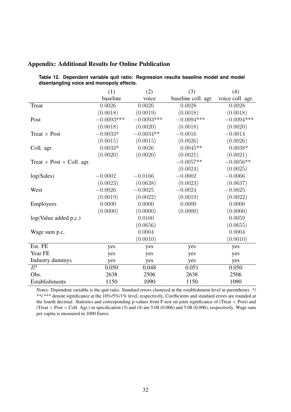|  |  |  |  | <b>Appendix: Additional Results for Online Publication</b> |
|--|--|--|--|------------------------------------------------------------|
|--|--|--|--|------------------------------------------------------------|

|                                         | (1)          | (2)          | (3)                 | (4)              |
|-----------------------------------------|--------------|--------------|---------------------|------------------|
|                                         | baseline     | voice        | baseline coll. agr. | voice coll. agr. |
| Treat                                   | 0.0026       | 0.0026       | 0.0028              | 0.0028           |
|                                         | (0.0018)     | (0.0019)     | (0.0018)            | (0.0018)         |
| Post                                    | $-0.0093***$ | $-0.0093***$ | $-0.0094***$        | $-0.0094***$     |
|                                         | (0.0018)     | (0.0020)     | (0.0018)            | (0.0020)         |
| Treat $\times$ Post                     | $-0.0033*$   | $-0.0034**$  | $-0.0016$           | $-0.0014$        |
|                                         | (0.0015)     | (0.0015)     | (0.0026)            | (0.0026)         |
| Coll. agr.                              | $0.0033*$    | 0.0026       | $0.0045**$          | $0.0038*$        |
|                                         | (0.0020)     | (0.0020)     | (0.0021)            | (0.0021)         |
| Treat $\times$ Post $\times$ Coll. agr. |              |              | $-0.0057**$         | $-0.0056**$      |
|                                         |              |              | (0.0024)            | (0.0025)         |
| log(Sales)                              | $-0.0002$    | $-0.0166$    | $-0.0002$           | $-0.0066$        |
|                                         | (0.0023)     | (0.0638)     | (0.0023)            | (0.0637)         |
| West                                    | $-0.0026$    | $-0.0025$    | $-0.0024$           | $-0.0025$        |
|                                         | (0.0019)     | (0.0022)     | (0.0019)            | (0.0022)         |
| Employees                               | 0.0000       | 0.0000       | 0.0000              | 0.0000           |
|                                         | (0.0000)     | (0.0000)     | (0.0000)            | (0.0000)         |
| log(Value added p.c.)                   |              | 0.0160       |                     | 0.0059           |
|                                         |              | (0.0656)     |                     | (0.0655)         |
| Wage sum p.c.                           |              | 0.0004       |                     | 0.0004           |
|                                         |              | (0.0010)     |                     | (0.0010)         |
| Est. FE                                 | yes          | yes          | yes                 | yes              |
| Year FE                                 | yes          | yes          | yes                 | yes              |
| Industry dummys                         | yes          | yes          | yes                 | yes              |
| $\overline{R^2}$                        | 0.050        | 0.048        | 0.051               | 0.050            |
| Obs.                                    | 2638         | 2506         | 2638                | 2506             |
| Establishments                          | 1150         | 1090         | 1150                | 1090             |

**Table 12. Dependent variable quit ratio: Regression results baseline model and model disentangling voice and monopoly effects.**

Notes: Dependent variable is the quit ratio. Standard errors clustered at the establishment level in parentheses. \*/ \*\*/ \*\*\* denote significance at the 10%/5%/1% level, respectively. Coefficients and standard errors are rounded at the fourth decimal. Statistics and corresponding p-values from F-test on joint significance of (Treat  $\times$  Post) and (Treat  $\times$  Post  $\times$  Coll. Agr.) in specification (3) and (4) are 5.08 (0.006) and 5.08 (0.006), respectively. Wage sum per capita is measured in 1000 Euros.